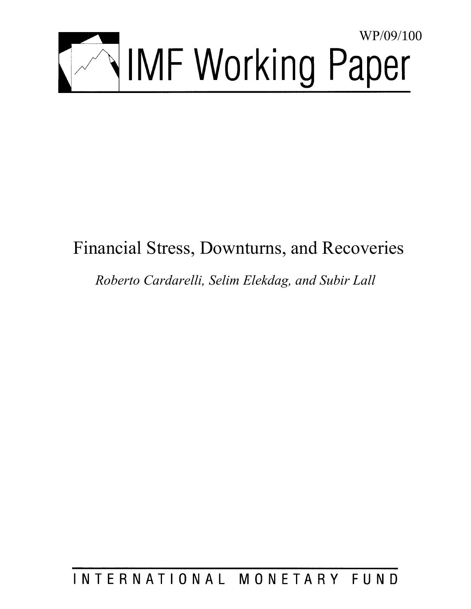

# Financial Stress, Downturns, and Recoveries

*Roberto Cardarelli, Selim Elekdag, and Subir Lall* 

INTERNATIONAL MONETARY FUND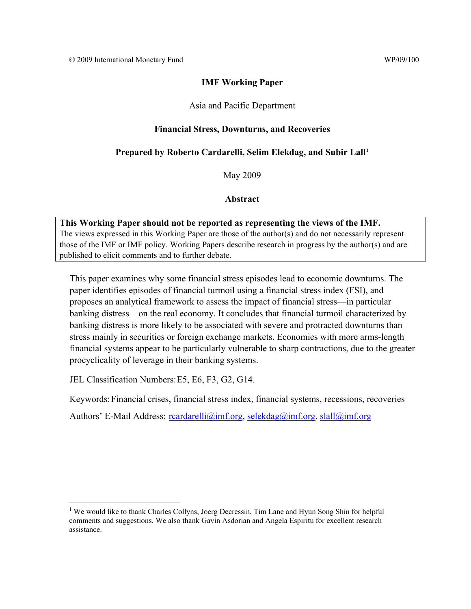### **IMF Working Paper**

### Asia and Pacific Department

### **Financial Stress, Downturns, and Recoveries**

### **Prepared by Roberto Cardarelli, Selim Elekdag, and Subir Lall[1](#page-2-0)**

May 2009

### **Abstract**

# **This Working Paper should not be reported as representing the views of the IMF.**

The views expressed in this Working Paper are those of the author(s) and do not necessarily represent those of the IMF or IMF policy. Working Papers describe research in progress by the author(s) and are published to elicit comments and to further debate.

This paper examines why some financial stress episodes lead to economic downturns. The paper identifies episodes of financial turmoil using a financial stress index (FSI), and proposes an analytical framework to assess the impact of financial stress—in particular banking distress—on the real economy. It concludes that financial turmoil characterized by banking distress is more likely to be associated with severe and protracted downturns than stress mainly in securities or foreign exchange markets. Economies with more arms-length financial systems appear to be particularly vulnerable to sharp contractions, due to the greater procyclicality of leverage in their banking systems.

JEL Classification Numbers: E5, E6, F3, G2, G14.

<u>.</u>

Keywords: Financial crises, financial stress index, financial systems, recessions, recoveries

Authors' E-Mail Address: [rcardarelli@imf.org](mailto:rcardarelli@imf.org), [selekdag@imf.org](mailto:selekdag@imf.org), slall@imf.org

<span id="page-2-0"></span><sup>&</sup>lt;sup>1</sup> We would like to thank Charles Collyns, Joerg Decressin, Tim Lane and Hyun Song Shin for helpful comments and suggestions. We also thank Gavin Asdorian and Angela Espiritu for excellent research assistance.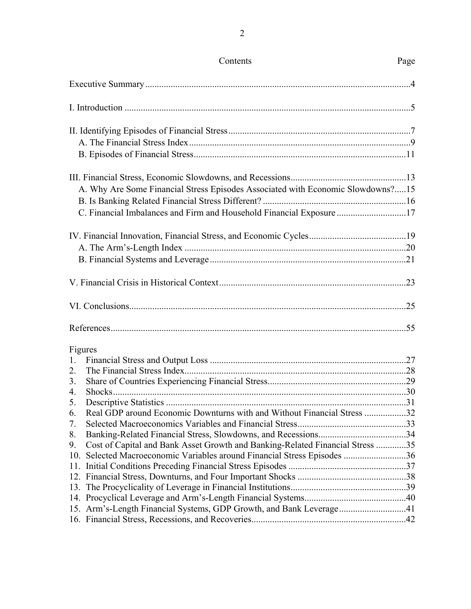| A. Why Are Some Financial Stress Episodes Associated with Economic Slowdowns?15<br>Real GDP around Economic Downturns with and Without Financial Stress 32<br>Cost of Capital and Bank Asset Growth and Banking-Related Financial Stress 35 | Figures<br>1.<br>2.<br>3.<br>4.<br>5.<br>6.<br>7.<br>8.<br>9.<br>10. Selected Macroeconomic Variables around Financial Stress Episodes 36<br>15. Arm's-Length Financial Systems, GDP Growth, and Bank Leverage41 |  |
|---------------------------------------------------------------------------------------------------------------------------------------------------------------------------------------------------------------------------------------------|------------------------------------------------------------------------------------------------------------------------------------------------------------------------------------------------------------------|--|
| C. Financial Imbalances and Firm and Household Financial Exposure 17                                                                                                                                                                        |                                                                                                                                                                                                                  |  |
|                                                                                                                                                                                                                                             |                                                                                                                                                                                                                  |  |
|                                                                                                                                                                                                                                             |                                                                                                                                                                                                                  |  |
|                                                                                                                                                                                                                                             |                                                                                                                                                                                                                  |  |
|                                                                                                                                                                                                                                             |                                                                                                                                                                                                                  |  |
|                                                                                                                                                                                                                                             |                                                                                                                                                                                                                  |  |
|                                                                                                                                                                                                                                             |                                                                                                                                                                                                                  |  |
|                                                                                                                                                                                                                                             |                                                                                                                                                                                                                  |  |
|                                                                                                                                                                                                                                             |                                                                                                                                                                                                                  |  |
|                                                                                                                                                                                                                                             |                                                                                                                                                                                                                  |  |
|                                                                                                                                                                                                                                             |                                                                                                                                                                                                                  |  |
|                                                                                                                                                                                                                                             |                                                                                                                                                                                                                  |  |
|                                                                                                                                                                                                                                             |                                                                                                                                                                                                                  |  |
|                                                                                                                                                                                                                                             |                                                                                                                                                                                                                  |  |
|                                                                                                                                                                                                                                             |                                                                                                                                                                                                                  |  |
|                                                                                                                                                                                                                                             |                                                                                                                                                                                                                  |  |
|                                                                                                                                                                                                                                             |                                                                                                                                                                                                                  |  |
|                                                                                                                                                                                                                                             |                                                                                                                                                                                                                  |  |
|                                                                                                                                                                                                                                             |                                                                                                                                                                                                                  |  |
|                                                                                                                                                                                                                                             |                                                                                                                                                                                                                  |  |
|                                                                                                                                                                                                                                             |                                                                                                                                                                                                                  |  |
|                                                                                                                                                                                                                                             |                                                                                                                                                                                                                  |  |
|                                                                                                                                                                                                                                             |                                                                                                                                                                                                                  |  |
|                                                                                                                                                                                                                                             |                                                                                                                                                                                                                  |  |
|                                                                                                                                                                                                                                             |                                                                                                                                                                                                                  |  |
|                                                                                                                                                                                                                                             |                                                                                                                                                                                                                  |  |
|                                                                                                                                                                                                                                             |                                                                                                                                                                                                                  |  |
|                                                                                                                                                                                                                                             |                                                                                                                                                                                                                  |  |
|                                                                                                                                                                                                                                             |                                                                                                                                                                                                                  |  |
|                                                                                                                                                                                                                                             |                                                                                                                                                                                                                  |  |

2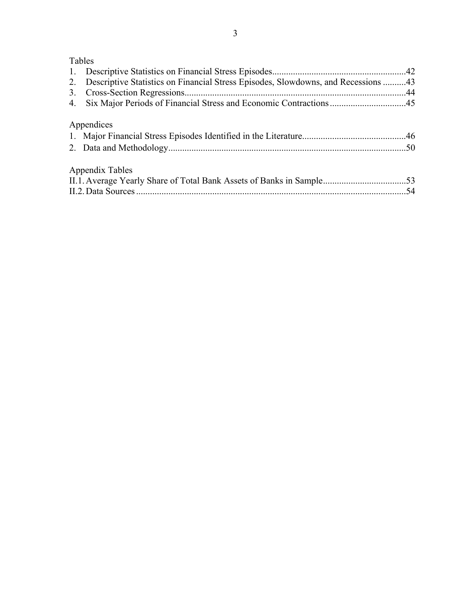## Tables

| 2. Descriptive Statistics on Financial Stress Episodes, Slowdowns, and Recessions  43 |  |
|---------------------------------------------------------------------------------------|--|
|                                                                                       |  |
|                                                                                       |  |
| Appendices                                                                            |  |
|                                                                                       |  |
| Appendix Tables                                                                       |  |
|                                                                                       |  |
|                                                                                       |  |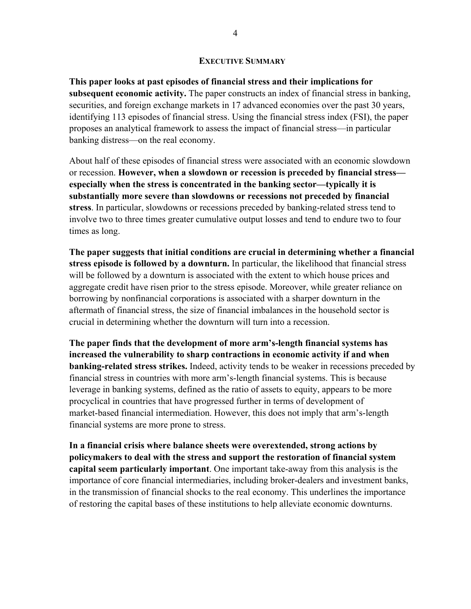### **EXECUTIVE SUMMARY**

<span id="page-5-0"></span>**This paper looks at past episodes of financial stress and their implications for subsequent economic activity.** The paper constructs an index of financial stress in banking, securities, and foreign exchange markets in 17 advanced economies over the past 30 years, identifying 113 episodes of financial stress. Using the financial stress index (FSI), the paper proposes an analytical framework to assess the impact of financial stress—in particular banking distress—on the real economy.

About half of these episodes of financial stress were associated with an economic slowdown or recession. **However, when a slowdown or recession is preceded by financial stress especially when the stress is concentrated in the banking sector—typically it is substantially more severe than slowdowns or recessions not preceded by financial stress**. In particular, slowdowns or recessions preceded by banking-related stress tend to involve two to three times greater cumulative output losses and tend to endure two to four times as long.

**The paper suggests that initial conditions are crucial in determining whether a financial stress episode is followed by a downturn.** In particular, the likelihood that financial stress will be followed by a downturn is associated with the extent to which house prices and aggregate credit have risen prior to the stress episode. Moreover, while greater reliance on borrowing by nonfinancial corporations is associated with a sharper downturn in the aftermath of financial stress, the size of financial imbalances in the household sector is crucial in determining whether the downturn will turn into a recession.

**The paper finds that the development of more arm's-length financial systems has increased the vulnerability to sharp contractions in economic activity if and when banking-related stress strikes.** Indeed, activity tends to be weaker in recessions preceded by financial stress in countries with more arm's-length financial systems. This is because leverage in banking systems, defined as the ratio of assets to equity, appears to be more procyclical in countries that have progressed further in terms of development of market-based financial intermediation. However, this does not imply that arm's-length financial systems are more prone to stress.

**In a financial crisis where balance sheets were overextended, strong actions by policymakers to deal with the stress and support the restoration of financial system capital seem particularly important**. One important take-away from this analysis is the importance of core financial intermediaries, including broker-dealers and investment banks, in the transmission of financial shocks to the real economy. This underlines the importance of restoring the capital bases of these institutions to help alleviate economic downturns.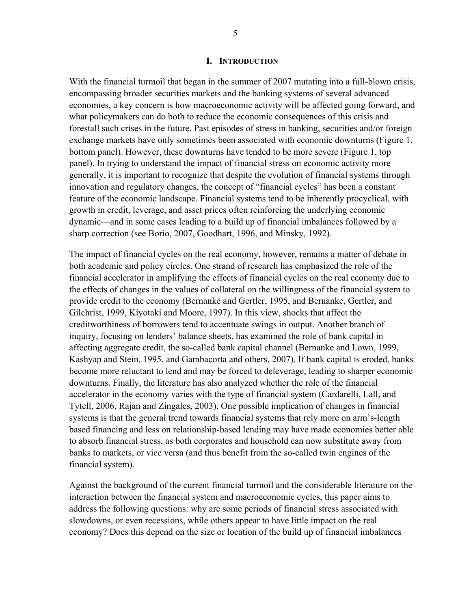#### **I. INTRODUCTION**

<span id="page-6-0"></span>With the financial turmoil that began in the summer of 2007 mutating into a full-blown crisis, encompassing broader securities markets and the banking systems of several advanced economies, a key concern is how macroeconomic activity will be affected going forward, and what policymakers can do both to reduce the economic consequences of this crisis and forestall such crises in the future. Past episodes of stress in banking, securities and/or foreign exchange markets have only sometimes been associated with economic downturns (Figure 1, bottom panel). However, these downturns have tended to be more severe (Figure 1, top panel). In trying to understand the impact of financial stress on economic activity more generally, it is important to recognize that despite the evolution of financial systems through innovation and regulatory changes, the concept of "financial cycles" has been a constant feature of the economic landscape. Financial systems tend to be inherently procyclical, with growth in credit, leverage, and asset prices often reinforcing the underlying economic dynamic—and in some cases leading to a build up of financial imbalances followed by a sharp correction (see Borio, 2007, Goodhart, 1996, and Minsky, 1992).

The impact of financial cycles on the real economy, however, remains a matter of debate in both academic and policy circles. One strand of research has emphasized the role of the financial accelerator in amplifying the effects of financial cycles on the real economy due to the effects of changes in the values of collateral on the willingness of the financial system to provide credit to the economy (Bernanke and Gertler, 1995, and Bernanke, Gertler, and Gilchrist, 1999, Kiyotaki and Moore, 1997). In this view, shocks that affect the creditworthiness of borrowers tend to accentuate swings in output. Another branch of inquiry, focusing on lenders' balance sheets, has examined the role of bank capital in affecting aggregate credit, the so-called bank capital channel (Bernanke and Lown, 1999, Kashyap and Stein, 1995, and Gambacorta and others, 2007). If bank capital is eroded, banks become more reluctant to lend and may be forced to deleverage, leading to sharper economic downturns. Finally, the literature has also analyzed whether the role of the financial accelerator in the economy varies with the type of financial system (Cardarelli, Lall, and Tytell, 2006, Rajan and Zingales, 2003). One possible implication of changes in financial systems is that the general trend towards financial systems that rely more on arm's-length based financing and less on relationship-based lending may have made economies better able to absorb financial stress, as both corporates and household can now substitute away from banks to markets, or vice versa (and thus benefit from the so-called twin engines of the financial system).

Against the background of the current financial turmoil and the considerable literature on the interaction between the financial system and macroeconomic cycles, this paper aims to address the following questions: why are some periods of financial stress associated with slowdowns, or even recessions, while others appear to have little impact on the real economy? Does this depend on the size or location of the build up of financial imbalances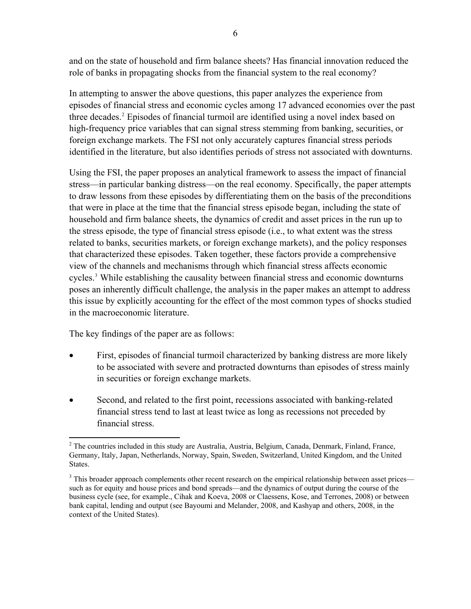and on the state of household and firm balance sheets? Has financial innovation reduced the role of banks in propagating shocks from the financial system to the real economy?

In attempting to answer the above questions, this paper analyzes the experience from episodes of financial stress and economic cycles among 17 advanced economies over the past three decades.<sup>[2](#page-7-0)</sup> Episodes of financial turmoil are identified using a novel index based on high-frequency price variables that can signal stress stemming from banking, securities, or foreign exchange markets. The FSI not only accurately captures financial stress periods identified in the literature, but also identifies periods of stress not associated with downturns.

Using the FSI, the paper proposes an analytical framework to assess the impact of financial stress—in particular banking distress—on the real economy. Specifically, the paper attempts to draw lessons from these episodes by differentiating them on the basis of the preconditions that were in place at the time that the financial stress episode began, including the state of household and firm balance sheets, the dynamics of credit and asset prices in the run up to the stress episode, the type of financial stress episode (i.e., to what extent was the stress related to banks, securities markets, or foreign exchange markets), and the policy responses that characterized these episodes. Taken together, these factors provide a comprehensive view of the channels and mechanisms through which financial stress affects economic cycles.<sup>3</sup> While establishing the causality between financial stress and economic downturns poses an inherently difficult challenge, the analysis in the paper makes an attempt to address this issue by explicitly accounting for the effect of the most common types of shocks studied in the macroeconomic literature.

The key findings of the paper are as follows:

- First, episodes of financial turmoil characterized by banking distress are more likely to be associated with severe and protracted downturns than episodes of stress mainly in securities or foreign exchange markets.
- Second, and related to the first point, recessions associated with banking-related financial stress tend to last at least twice as long as recessions not preceded by financial stress.

<span id="page-7-0"></span><sup>&</sup>lt;sup>2</sup> The countries included in this study are Australia, Austria, Belgium, Canada, Denmark, Finland, France, Germany, Italy, Japan, Netherlands, Norway, Spain, Sweden, Switzerland, United Kingdom, and the United States.

<span id="page-7-1"></span> $3$  This broader approach complements other recent research on the empirical relationship between asset prices such as for equity and house prices and bond spreads—and the dynamics of output during the course of the business cycle (see, for example., Cihak and Koeva, 2008 or Claessens, Kose, and Terrones, 2008) or between bank capital, lending and output (see Bayoumi and Melander, 2008, and Kashyap and others, 2008, in the context of the United States).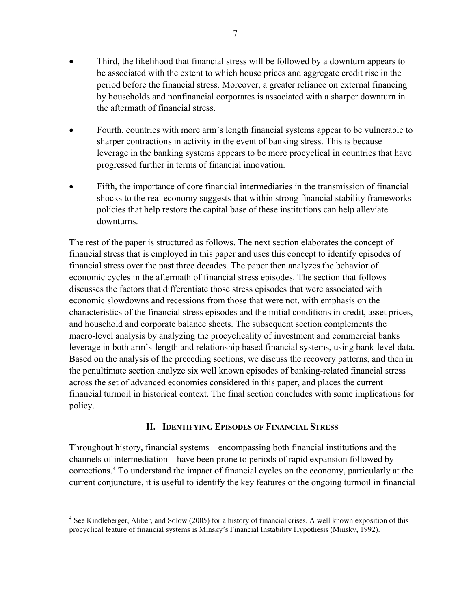- <span id="page-8-0"></span>• Third, the likelihood that financial stress will be followed by a downturn appears to be associated with the extent to which house prices and aggregate credit rise in the period before the financial stress. Moreover, a greater reliance on external financing by households and nonfinancial corporates is associated with a sharper downturn in the aftermath of financial stress.
- Fourth, countries with more arm's length financial systems appear to be vulnerable to sharper contractions in activity in the event of banking stress. This is because leverage in the banking systems appears to be more procyclical in countries that have progressed further in terms of financial innovation.
- Fifth, the importance of core financial intermediaries in the transmission of financial shocks to the real economy suggests that within strong financial stability frameworks policies that help restore the capital base of these institutions can help alleviate downturns.

The rest of the paper is structured as follows. The next section elaborates the concept of financial stress that is employed in this paper and uses this concept to identify episodes of financial stress over the past three decades. The paper then analyzes the behavior of economic cycles in the aftermath of financial stress episodes. The section that follows discusses the factors that differentiate those stress episodes that were associated with economic slowdowns and recessions from those that were not, with emphasis on the characteristics of the financial stress episodes and the initial conditions in credit, asset prices, and household and corporate balance sheets. The subsequent section complements the macro-level analysis by analyzing the procyclicality of investment and commercial banks leverage in both arm's-length and relationship based financial systems, using bank-level data. Based on the analysis of the preceding sections, we discuss the recovery patterns, and then in the penultimate section analyze six well known episodes of banking-related financial stress across the set of advanced economies considered in this paper, and places the current financial turmoil in historical context. The final section concludes with some implications for policy.

### **II. IDENTIFYING EPISODES OF FINANCIAL STRESS**

Throughout history, financial systems—encompassing both financial institutions and the channels of intermediation—have been prone to periods of rapid expansion followed by corrections.[4](#page-8-1) To understand the impact of financial cycles on the economy, particularly at the current conjuncture, it is useful to identify the key features of the ongoing turmoil in financial

<span id="page-8-1"></span><sup>1</sup> <sup>4</sup> See Kindleberger, Aliber, and Solow (2005) for a history of financial crises. A well known exposition of this procyclical feature of financial systems is Minsky's Financial Instability Hypothesis (Minsky, 1992).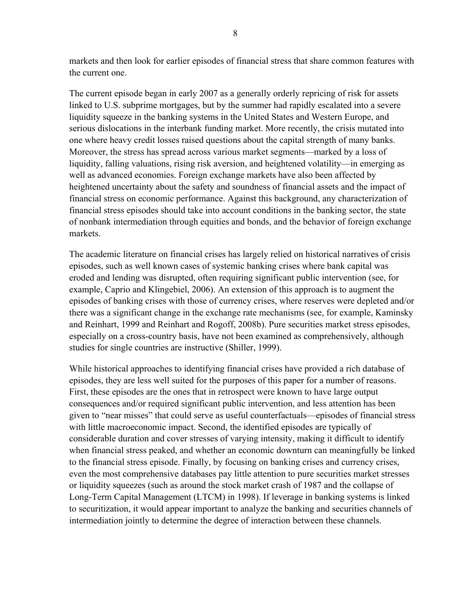markets and then look for earlier episodes of financial stress that share common features with the current one.

The current episode began in early 2007 as a generally orderly repricing of risk for assets linked to U.S. subprime mortgages, but by the summer had rapidly escalated into a severe liquidity squeeze in the banking systems in the United States and Western Europe, and serious dislocations in the interbank funding market. More recently, the crisis mutated into one where heavy credit losses raised questions about the capital strength of many banks. Moreover, the stress has spread across various market segments—marked by a loss of liquidity, falling valuations, rising risk aversion, and heightened volatility—in emerging as well as advanced economies. Foreign exchange markets have also been affected by heightened uncertainty about the safety and soundness of financial assets and the impact of financial stress on economic performance. Against this background, any characterization of financial stress episodes should take into account conditions in the banking sector, the state of nonbank intermediation through equities and bonds, and the behavior of foreign exchange markets.

The academic literature on financial crises has largely relied on historical narratives of crisis episodes, such as well known cases of systemic banking crises where bank capital was eroded and lending was disrupted, often requiring significant public intervention (see, for example, Caprio and Klingebiel, 2006). An extension of this approach is to augment the episodes of banking crises with those of currency crises, where reserves were depleted and/or there was a significant change in the exchange rate mechanisms (see, for example, Kaminsky and Reinhart, 1999 and Reinhart and Rogoff, 2008b). Pure securities market stress episodes, especially on a cross-country basis, have not been examined as comprehensively, although studies for single countries are instructive (Shiller, 1999).

While historical approaches to identifying financial crises have provided a rich database of episodes, they are less well suited for the purposes of this paper for a number of reasons. First, these episodes are the ones that in retrospect were known to have large output consequences and/or required significant public intervention, and less attention has been given to "near misses" that could serve as useful counterfactuals—episodes of financial stress with little macroeconomic impact. Second, the identified episodes are typically of considerable duration and cover stresses of varying intensity, making it difficult to identify when financial stress peaked, and whether an economic downturn can meaningfully be linked to the financial stress episode. Finally, by focusing on banking crises and currency crises, even the most comprehensive databases pay little attention to pure securities market stresses or liquidity squeezes (such as around the stock market crash of 1987 and the collapse of Long-Term Capital Management (LTCM) in 1998). If leverage in banking systems is linked to securitization, it would appear important to analyze the banking and securities channels of intermediation jointly to determine the degree of interaction between these channels.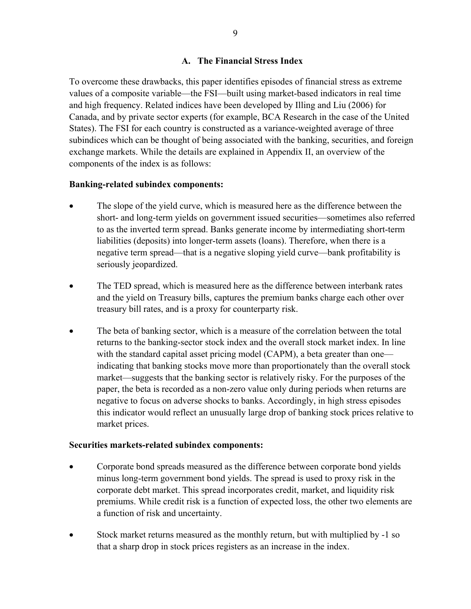### **A. The Financial Stress Index**

<span id="page-10-0"></span>To overcome these drawbacks, this paper identifies episodes of financial stress as extreme values of a composite variable—the FSI—built using market-based indicators in real time and high frequency. Related indices have been developed by Illing and Liu (2006) for Canada, and by private sector experts (for example, BCA Research in the case of the United States). The FSI for each country is constructed as a variance-weighted average of three subindices which can be thought of being associated with the banking, securities, and foreign exchange markets. While the details are explained in Appendix II, an overview of the components of the index is as follows:

### **Banking-related subindex components:**

- The slope of the yield curve, which is measured here as the difference between the short- and long-term yields on government issued securities—sometimes also referred to as the inverted term spread. Banks generate income by intermediating short-term liabilities (deposits) into longer-term assets (loans). Therefore, when there is a negative term spread—that is a negative sloping yield curve—bank profitability is seriously jeopardized.
- The TED spread, which is measured here as the difference between interbank rates and the yield on Treasury bills, captures the premium banks charge each other over treasury bill rates, and is a proxy for counterparty risk.
- The beta of banking sector, which is a measure of the correlation between the total returns to the banking-sector stock index and the overall stock market index. In line with the standard capital asset pricing model (CAPM), a beta greater than one indicating that banking stocks move more than proportionately than the overall stock market—suggests that the banking sector is relatively risky. For the purposes of the paper, the beta is recorded as a non-zero value only during periods when returns are negative to focus on adverse shocks to banks. Accordingly, in high stress episodes this indicator would reflect an unusually large drop of banking stock prices relative to market prices.

### **Securities markets-related subindex components:**

- Corporate bond spreads measured as the difference between corporate bond yields minus long-term government bond yields. The spread is used to proxy risk in the corporate debt market. This spread incorporates credit, market, and liquidity risk premiums. While credit risk is a function of expected loss, the other two elements are a function of risk and uncertainty.
- Stock market returns measured as the monthly return, but with multiplied by -1 so that a sharp drop in stock prices registers as an increase in the index.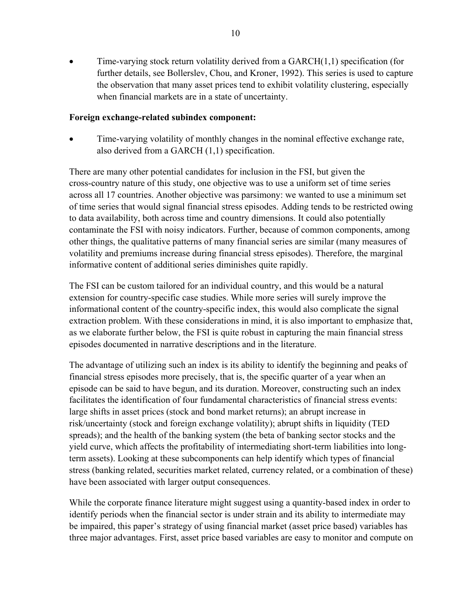Time-varying stock return volatility derived from a  $GARCH(1,1)$  specification (for further details, see Bollerslev, Chou, and Kroner, 1992). This series is used to capture the observation that many asset prices tend to exhibit volatility clustering, especially when financial markets are in a state of uncertainty.

### **Foreign exchange-related subindex component:**

• Time-varying volatility of monthly changes in the nominal effective exchange rate, also derived from a GARCH (1,1) specification.

There are many other potential candidates for inclusion in the FSI, but given the cross-country nature of this study, one objective was to use a uniform set of time series across all 17 countries. Another objective was parsimony: we wanted to use a minimum set of time series that would signal financial stress episodes. Adding tends to be restricted owing to data availability, both across time and country dimensions. It could also potentially contaminate the FSI with noisy indicators. Further, because of common components, among other things, the qualitative patterns of many financial series are similar (many measures of volatility and premiums increase during financial stress episodes). Therefore, the marginal informative content of additional series diminishes quite rapidly.

The FSI can be custom tailored for an individual country, and this would be a natural extension for country-specific case studies. While more series will surely improve the informational content of the country-specific index, this would also complicate the signal extraction problem. With these considerations in mind, it is also important to emphasize that, as we elaborate further below, the FSI is quite robust in capturing the main financial stress episodes documented in narrative descriptions and in the literature.

The advantage of utilizing such an index is its ability to identify the beginning and peaks of financial stress episodes more precisely, that is, the specific quarter of a year when an episode can be said to have begun, and its duration. Moreover, constructing such an index facilitates the identification of four fundamental characteristics of financial stress events: large shifts in asset prices (stock and bond market returns); an abrupt increase in risk/uncertainty (stock and foreign exchange volatility); abrupt shifts in liquidity (TED spreads); and the health of the banking system (the beta of banking sector stocks and the yield curve, which affects the profitability of intermediating short-term liabilities into longterm assets). Looking at these subcomponents can help identify which types of financial stress (banking related, securities market related, currency related, or a combination of these) have been associated with larger output consequences.

While the corporate finance literature might suggest using a quantity-based index in order to identify periods when the financial sector is under strain and its ability to intermediate may be impaired, this paper's strategy of using financial market (asset price based) variables has three major advantages. First, asset price based variables are easy to monitor and compute on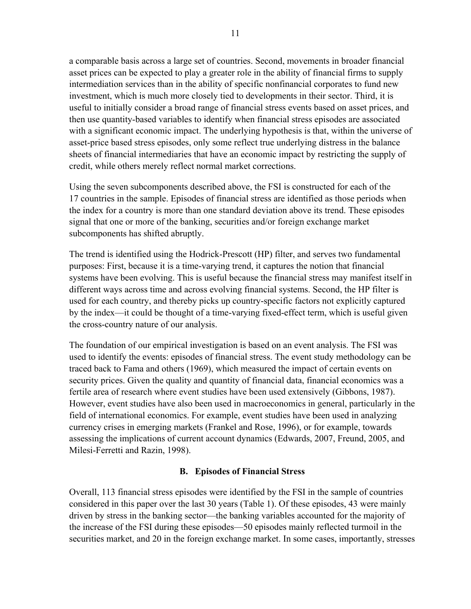<span id="page-12-0"></span>a comparable basis across a large set of countries. Second, movements in broader financial asset prices can be expected to play a greater role in the ability of financial firms to supply intermediation services than in the ability of specific nonfinancial corporates to fund new investment, which is much more closely tied to developments in their sector. Third, it is useful to initially consider a broad range of financial stress events based on asset prices, and then use quantity-based variables to identify when financial stress episodes are associated with a significant economic impact. The underlying hypothesis is that, within the universe of asset-price based stress episodes, only some reflect true underlying distress in the balance sheets of financial intermediaries that have an economic impact by restricting the supply of credit, while others merely reflect normal market corrections.

Using the seven subcomponents described above, the FSI is constructed for each of the 17 countries in the sample. Episodes of financial stress are identified as those periods when the index for a country is more than one standard deviation above its trend. These episodes signal that one or more of the banking, securities and/or foreign exchange market subcomponents has shifted abruptly.

The trend is identified using the Hodrick-Prescott (HP) filter, and serves two fundamental purposes: First, because it is a time-varying trend, it captures the notion that financial systems have been evolving. This is useful because the financial stress may manifest itself in different ways across time and across evolving financial systems. Second, the HP filter is used for each country, and thereby picks up country-specific factors not explicitly captured by the index—it could be thought of a time-varying fixed-effect term, which is useful given the cross-country nature of our analysis.

The foundation of our empirical investigation is based on an event analysis. The FSI was used to identify the events: episodes of financial stress. The event study methodology can be traced back to Fama and others (1969), which measured the impact of certain events on security prices. Given the quality and quantity of financial data, financial economics was a fertile area of research where event studies have been used extensively (Gibbons, 1987). However, event studies have also been used in macroeconomics in general, particularly in the field of international economics. For example, event studies have been used in analyzing currency crises in emerging markets (Frankel and Rose, 1996), or for example, towards assessing the implications of current account dynamics (Edwards, 2007, Freund, 2005, and Milesi-Ferretti and Razin, 1998).

### **B. Episodes of Financial Stress**

Overall, 113 financial stress episodes were identified by the FSI in the sample of countries considered in this paper over the last 30 years (Table 1). Of these episodes, 43 were mainly driven by stress in the banking sector—the banking variables accounted for the majority of the increase of the FSI during these episodes—50 episodes mainly reflected turmoil in the securities market, and 20 in the foreign exchange market. In some cases, importantly, stresses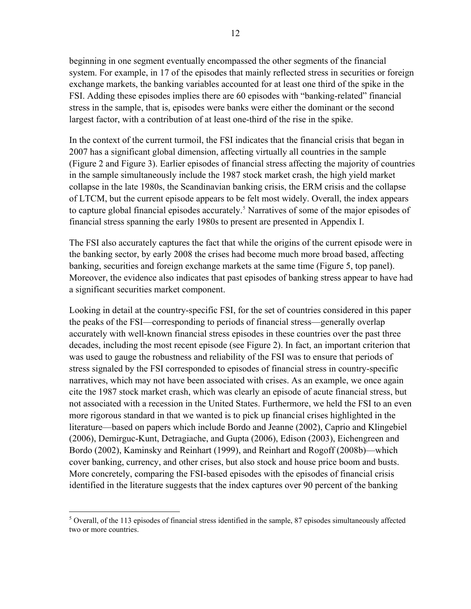beginning in one segment eventually encompassed the other segments of the financial system. For example, in 17 of the episodes that mainly reflected stress in securities or foreign exchange markets, the banking variables accounted for at least one third of the spike in the FSI. Adding these episodes implies there are 60 episodes with "banking-related" financial stress in the sample, that is, episodes were banks were either the dominant or the second largest factor, with a contribution of at least one-third of the rise in the spike.

In the context of the current turmoil, the FSI indicates that the financial crisis that began in 2007 has a significant global dimension, affecting virtually all countries in the sample (Figure 2 and Figure 3). Earlier episodes of financial stress affecting the majority of countries in the sample simultaneously include the 1987 stock market crash, the high yield market collapse in the late 1980s, the Scandinavian banking crisis, the ERM crisis and the collapse of LTCM, but the current episode appears to be felt most widely. Overall, the index appears to capture global financial episodes accurately.<sup>[5](#page-13-0)</sup> Narratives of some of the major episodes of financial stress spanning the early 1980s to present are presented in Appendix I.

The FSI also accurately captures the fact that while the origins of the current episode were in the banking sector, by early 2008 the crises had become much more broad based, affecting banking, securities and foreign exchange markets at the same time (Figure 5, top panel). Moreover, the evidence also indicates that past episodes of banking stress appear to have had a significant securities market component.

Looking in detail at the country-specific FSI, for the set of countries considered in this paper the peaks of the FSI—corresponding to periods of financial stress—generally overlap accurately with well-known financial stress episodes in these countries over the past three decades, including the most recent episode (see Figure 2). In fact, an important criterion that was used to gauge the robustness and reliability of the FSI was to ensure that periods of stress signaled by the FSI corresponded to episodes of financial stress in country-specific narratives, which may not have been associated with crises. As an example, we once again cite the 1987 stock market crash, which was clearly an episode of acute financial stress, but not associated with a recession in the United States. Furthermore, we held the FSI to an even more rigorous standard in that we wanted is to pick up financial crises highlighted in the literature—based on papers which include Bordo and Jeanne (2002), Caprio and Klingebiel (2006), Demirguc-Kunt, Detragiache, and Gupta (2006), Edison (2003), Eichengreen and Bordo (2002), Kaminsky and Reinhart (1999), and Reinhart and Rogoff (2008b)—which cover banking, currency, and other crises, but also stock and house price boom and busts. More concretely, comparing the FSI-based episodes with the episodes of financial crisis identified in the literature suggests that the index captures over 90 percent of the banking

 $\overline{a}$ 

<span id="page-13-0"></span> $5$  Overall, of the 113 episodes of financial stress identified in the sample, 87 episodes simultaneously affected two or more countries.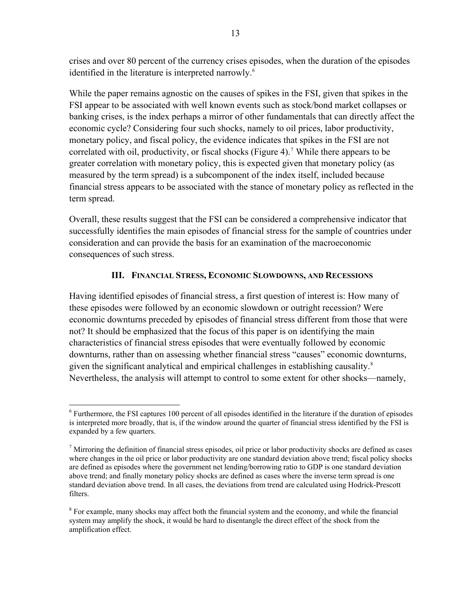<span id="page-14-0"></span>crises and over 80 percent of the currency crises episodes, when the duration of the episodes identified in the literature is interpreted narrowly.<sup>[6](#page-14-1)</sup>

While the paper remains agnostic on the causes of spikes in the FSI, given that spikes in the FSI appear to be associated with well known events such as stock/bond market collapses or banking crises, is the index perhaps a mirror of other fundamentals that can directly affect the economic cycle? Considering four such shocks, namely to oil prices, labor productivity, monetary policy, and fiscal policy, the evidence indicates that spikes in the FSI are not correlated with oil, productivity, or fiscal shocks (Figure 4).<sup>[7](#page-14-2)</sup> While there appears to be greater correlation with monetary policy, this is expected given that monetary policy (as measured by the term spread) is a subcomponent of the index itself, included because financial stress appears to be associated with the stance of monetary policy as reflected in the term spread.

Overall, these results suggest that the FSI can be considered a comprehensive indicator that successfully identifies the main episodes of financial stress for the sample of countries under consideration and can provide the basis for an examination of the macroeconomic consequences of such stress.

### **III. FINANCIAL STRESS, ECONOMIC SLOWDOWNS, AND RECESSIONS**

Having identified episodes of financial stress, a first question of interest is: How many of these episodes were followed by an economic slowdown or outright recession? Were economic downturns preceded by episodes of financial stress different from those that were not? It should be emphasized that the focus of this paper is on identifying the main characteristics of financial stress episodes that were eventually followed by economic downturns, rather than on assessing whether financial stress "causes" economic downturns, given the significant analytical and empirical challenges in establishing causality.<sup>[8](#page-14-3)</sup> Nevertheless, the analysis will attempt to control to some extent for other shocks—namely,

<span id="page-14-1"></span><sup>&</sup>lt;u>.</u>  $6$  Furthermore, the FSI captures 100 percent of all episodes identified in the literature if the duration of episodes is interpreted more broadly, that is, if the window around the quarter of financial stress identified by the FSI is expanded by a few quarters.

<span id="page-14-2"></span> $<sup>7</sup>$  Mirroring the definition of financial stress episodes, oil price or labor productivity shocks are defined as cases</sup> where changes in the oil price or labor productivity are one standard deviation above trend; fiscal policy shocks are defined as episodes where the government net lending/borrowing ratio to GDP is one standard deviation above trend; and finally monetary policy shocks are defined as cases where the inverse term spread is one standard deviation above trend. In all cases, the deviations from trend are calculated using Hodrick-Prescott filters.

<span id="page-14-3"></span> $8$  For example, many shocks may affect both the financial system and the economy, and while the financial system may amplify the shock, it would be hard to disentangle the direct effect of the shock from the amplification effect.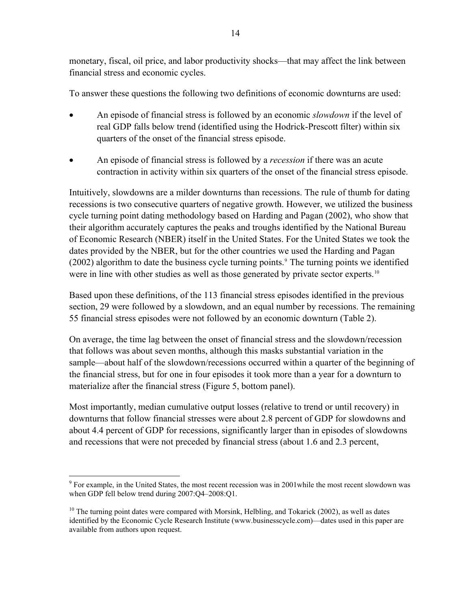monetary, fiscal, oil price, and labor productivity shocks—that may affect the link between financial stress and economic cycles.

To answer these questions the following two definitions of economic downturns are used:

- An episode of financial stress is followed by an economic *slowdown* if the level of real GDP falls below trend (identified using the Hodrick-Prescott filter) within six quarters of the onset of the financial stress episode.
- An episode of financial stress is followed by a *recession* if there was an acute contraction in activity within six quarters of the onset of the financial stress episode.

Intuitively, slowdowns are a milder downturns than recessions. The rule of thumb for dating recessions is two consecutive quarters of negative growth. However, we utilized the business cycle turning point dating methodology based on Harding and Pagan (2002), who show that their algorithm accurately captures the peaks and troughs identified by the National Bureau of Economic Research (NBER) itself in the United States. For the United States we took the dates provided by the NBER, but for the other countries we used the Harding and Pagan  $(2002)$  algorithm to date the business cycle turning points.<sup>[9](#page-15-0)</sup> The turning points we identified were in line with other studies as well as those generated by private sector experts.<sup>[10](#page-15-1)</sup>

Based upon these definitions, of the 113 financial stress episodes identified in the previous section, 29 were followed by a slowdown, and an equal number by recessions. The remaining 55 financial stress episodes were not followed by an economic downturn (Table 2).

On average, the time lag between the onset of financial stress and the slowdown/recession that follows was about seven months, although this masks substantial variation in the sample—about half of the slowdown/recessions occurred within a quarter of the beginning of the financial stress, but for one in four episodes it took more than a year for a downturn to materialize after the financial stress (Figure 5, bottom panel).

Most importantly, median cumulative output losses (relative to trend or until recovery) in downturns that follow financial stresses were about 2.8 percent of GDP for slowdowns and about 4.4 percent of GDP for recessions, significantly larger than in episodes of slowdowns and recessions that were not preceded by financial stress (about 1.6 and 2.3 percent,

<span id="page-15-0"></span> $\overline{a}$ <sup>9</sup> For example, in the United States, the most recent recession was in 2001 while the most recent slowdown was when GDP fell below trend during  $2007:O4-2008:O1$ .

<span id="page-15-1"></span> $10$  The turning point dates were compared with Morsink, Helbling, and Tokarick (2002), as well as dates identified by the Economic Cycle Research Institute (www.businesscycle.com)—dates used in this paper are available from authors upon request.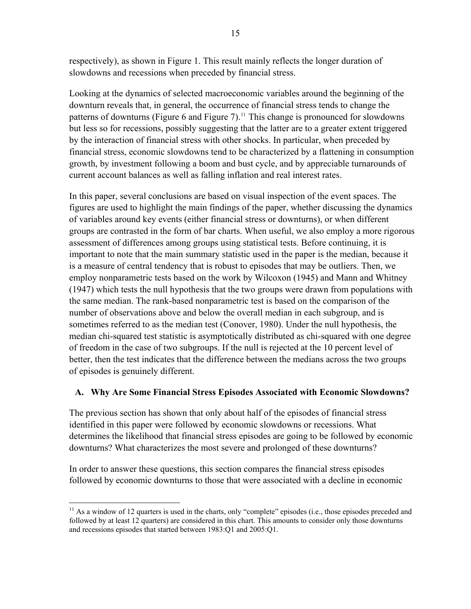<span id="page-16-0"></span>respectively), as shown in Figure 1. This result mainly reflects the longer duration of slowdowns and recessions when preceded by financial stress.

Looking at the dynamics of selected macroeconomic variables around the beginning of the downturn reveals that, in general, the occurrence of financial stress tends to change the patterns of downturns (Figure 6 and Figure 7).<sup>[11](#page-16-1)</sup> This change is pronounced for slowdowns but less so for recessions, possibly suggesting that the latter are to a greater extent triggered by the interaction of financial stress with other shocks. In particular, when preceded by financial stress, economic slowdowns tend to be characterized by a flattening in consumption growth, by investment following a boom and bust cycle, and by appreciable turnarounds of current account balances as well as falling inflation and real interest rates.

In this paper, several conclusions are based on visual inspection of the event spaces. The figures are used to highlight the main findings of the paper, whether discussing the dynamics of variables around key events (either financial stress or downturns), or when different groups are contrasted in the form of bar charts. When useful, we also employ a more rigorous assessment of differences among groups using statistical tests. Before continuing, it is important to note that the main summary statistic used in the paper is the median, because it is a measure of central tendency that is robust to episodes that may be outliers. Then, we employ nonparametric tests based on the work by Wilcoxon (1945) and Mann and Whitney (1947) which tests the null hypothesis that the two groups were drawn from populations with the same median. The rank-based nonparametric test is based on the comparison of the number of observations above and below the overall median in each subgroup, and is sometimes referred to as the median test (Conover, 1980). Under the null hypothesis, the median chi-squared test statistic is asymptotically distributed as chi-squared with one degree of freedom in the case of two subgroups. If the null is rejected at the 10 percent level of better, then the test indicates that the difference between the medians across the two groups of episodes is genuinely different.

### **A. Why Are Some Financial Stress Episodes Associated with Economic Slowdowns?**

The previous section has shown that only about half of the episodes of financial stress identified in this paper were followed by economic slowdowns or recessions. What determines the likelihood that financial stress episodes are going to be followed by economic downturns? What characterizes the most severe and prolonged of these downturns?

In order to answer these questions, this section compares the financial stress episodes followed by economic downturns to those that were associated with a decline in economic

<u>.</u>

<span id="page-16-1"></span> $11$  As a window of 12 quarters is used in the charts, only "complete" episodes (i.e., those episodes preceded and followed by at least 12 quarters) are considered in this chart. This amounts to consider only those downturns and recessions episodes that started between 1983:Q1 and 2005:Q1.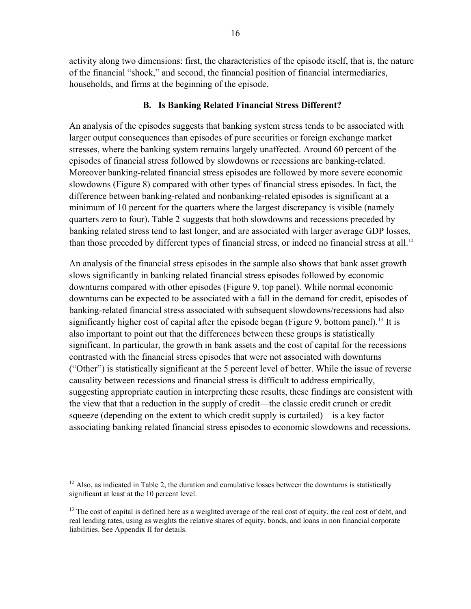<span id="page-17-0"></span>activity along two dimensions: first, the characteristics of the episode itself, that is, the nature of the financial "shock," and second, the financial position of financial intermediaries, households, and firms at the beginning of the episode.

### **B. Is Banking Related Financial Stress Different?**

An analysis of the episodes suggests that banking system stress tends to be associated with larger output consequences than episodes of pure securities or foreign exchange market stresses, where the banking system remains largely unaffected. Around 60 percent of the episodes of financial stress followed by slowdowns or recessions are banking-related. Moreover banking-related financial stress episodes are followed by more severe economic slowdowns (Figure 8) compared with other types of financial stress episodes. In fact, the difference between banking-related and nonbanking-related episodes is significant at a minimum of 10 percent for the quarters where the largest discrepancy is visible (namely quarters zero to four). Table 2 suggests that both slowdowns and recessions preceded by banking related stress tend to last longer, and are associated with larger average GDP losses, than those preceded by different types of financial stress, or indeed no financial stress at all.<sup>[12](#page-17-1)</sup>

An analysis of the financial stress episodes in the sample also shows that bank asset growth slows significantly in banking related financial stress episodes followed by economic downturns compared with other episodes (Figure 9, top panel). While normal economic downturns can be expected to be associated with a fall in the demand for credit, episodes of banking-related financial stress associated with subsequent slowdowns/recessions had also significantly higher cost of capital after the episode began (Figure 9, bottom panel).<sup>[13](#page-17-2)</sup> It is also important to point out that the differences between these groups is statistically significant. In particular, the growth in bank assets and the cost of capital for the recessions contrasted with the financial stress episodes that were not associated with downturns ("Other") is statistically significant at the 5 percent level of better. While the issue of reverse causality between recessions and financial stress is difficult to address empirically, suggesting appropriate caution in interpreting these results, these findings are consistent with the view that that a reduction in the supply of credit—the classic credit crunch or credit squeeze (depending on the extent to which credit supply is curtailed)—is a key factor associating banking related financial stress episodes to economic slowdowns and recessions.

 $\overline{a}$ 

<span id="page-17-1"></span> $12$  Also, as indicated in Table 2, the duration and cumulative losses between the downturns is statistically significant at least at the 10 percent level.

<span id="page-17-2"></span> $<sup>13</sup>$  The cost of capital is defined here as a weighted average of the real cost of equity, the real cost of debt, and</sup> real lending rates, using as weights the relative shares of equity, bonds, and loans in non financial corporate liabilities. See Appendix II for details.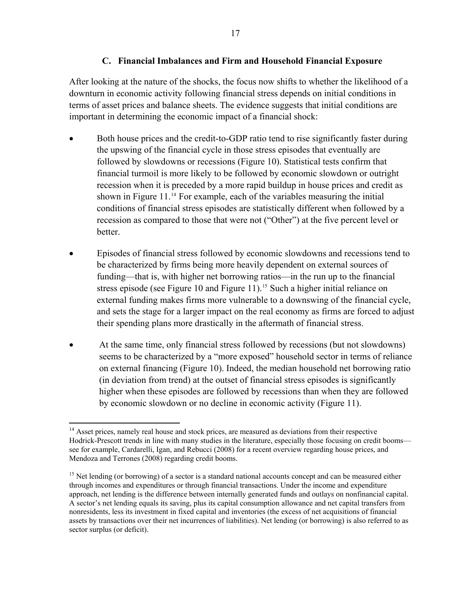### **C. Financial Imbalances and Firm and Household Financial Exposure**

<span id="page-18-0"></span>After looking at the nature of the shocks, the focus now shifts to whether the likelihood of a downturn in economic activity following financial stress depends on initial conditions in terms of asset prices and balance sheets. The evidence suggests that initial conditions are important in determining the economic impact of a financial shock:

- Both house prices and the credit-to-GDP ratio tend to rise significantly faster during the upswing of the financial cycle in those stress episodes that eventually are followed by slowdowns or recessions (Figure 10). Statistical tests confirm that financial turmoil is more likely to be followed by economic slowdown or outright recession when it is preceded by a more rapid buildup in house prices and credit as shown in Figure  $11.^{14}$  $11.^{14}$  $11.^{14}$  For example, each of the variables measuring the initial conditions of financial stress episodes are statistically different when followed by a recession as compared to those that were not ("Other") at the five percent level or better.
- Episodes of financial stress followed by economic slowdowns and recessions tend to be characterized by firms being more heavily dependent on external sources of funding—that is, with higher net borrowing ratios—in the run up to the financial stress episode (see Figure 10 and Figure 11).<sup>[15](#page-18-2)</sup> Such a higher initial reliance on external funding makes firms more vulnerable to a downswing of the financial cycle, and sets the stage for a larger impact on the real economy as firms are forced to adjust their spending plans more drastically in the aftermath of financial stress.
- At the same time, only financial stress followed by recessions (but not slowdowns) seems to be characterized by a "more exposed" household sector in terms of reliance on external financing (Figure 10). Indeed, the median household net borrowing ratio (in deviation from trend) at the outset of financial stress episodes is significantly higher when these episodes are followed by recessions than when they are followed by economic slowdown or no decline in economic activity (Figure 11).

 $\overline{a}$ 

<span id="page-18-1"></span><sup>&</sup>lt;sup>14</sup> Asset prices, namely real house and stock prices, are measured as deviations from their respective Hodrick-Prescott trends in line with many studies in the literature, especially those focusing on credit booms see for example, Cardarelli, Igan, and Rebucci (2008) for a recent overview regarding house prices, and Mendoza and Terrones (2008) regarding credit booms.

<span id="page-18-2"></span><sup>&</sup>lt;sup>15</sup> Net lending (or borrowing) of a sector is a standard national accounts concept and can be measured either through incomes and expenditures or through financial transactions. Under the income and expenditure approach, net lending is the difference between internally generated funds and outlays on nonfinancial capital. A sector's net lending equals its saving, plus its capital consumption allowance and net capital transfers from nonresidents, less its investment in fixed capital and inventories (the excess of net acquisitions of financial assets by transactions over their net incurrences of liabilities). Net lending (or borrowing) is also referred to as sector surplus (or deficit).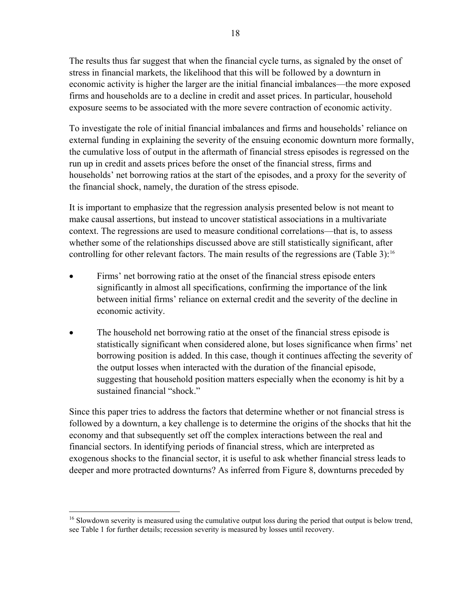The results thus far suggest that when the financial cycle turns, as signaled by the onset of stress in financial markets, the likelihood that this will be followed by a downturn in economic activity is higher the larger are the initial financial imbalances—the more exposed firms and households are to a decline in credit and asset prices. In particular, household exposure seems to be associated with the more severe contraction of economic activity.

To investigate the role of initial financial imbalances and firms and households' reliance on external funding in explaining the severity of the ensuing economic downturn more formally, the cumulative loss of output in the aftermath of financial stress episodes is regressed on the run up in credit and assets prices before the onset of the financial stress, firms and households' net borrowing ratios at the start of the episodes, and a proxy for the severity of the financial shock, namely, the duration of the stress episode.

It is important to emphasize that the regression analysis presented below is not meant to make causal assertions, but instead to uncover statistical associations in a multivariate context. The regressions are used to measure conditional correlations—that is, to assess whether some of the relationships discussed above are still statistically significant, after controlling for other relevant factors. The main results of the regressions are (Table 3):<sup>[16](#page-19-0)</sup>

- Firms' net borrowing ratio at the onset of the financial stress episode enters significantly in almost all specifications, confirming the importance of the link between initial firms' reliance on external credit and the severity of the decline in economic activity.
- The household net borrowing ratio at the onset of the financial stress episode is statistically significant when considered alone, but loses significance when firms' net borrowing position is added. In this case, though it continues affecting the severity of the output losses when interacted with the duration of the financial episode, suggesting that household position matters especially when the economy is hit by a sustained financial "shock."

Since this paper tries to address the factors that determine whether or not financial stress is followed by a downturn, a key challenge is to determine the origins of the shocks that hit the economy and that subsequently set off the complex interactions between the real and financial sectors. In identifying periods of financial stress, which are interpreted as exogenous shocks to the financial sector, it is useful to ask whether financial stress leads to deeper and more protracted downturns? As inferred from Figure 8, downturns preceded by

<span id="page-19-0"></span> $\overline{a}$ <sup>16</sup> Slowdown severity is measured using the cumulative output loss during the period that output is below trend, see Table 1 for further details; recession severity is measured by losses until recovery.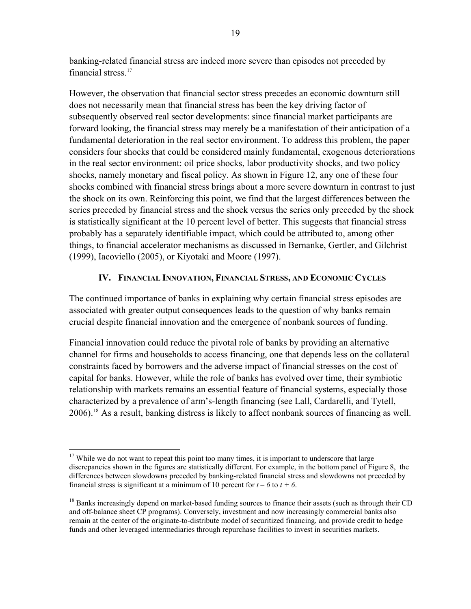<span id="page-20-0"></span>banking-related financial stress are indeed more severe than episodes not preceded by financial stress.<sup>[17](#page-20-1)</sup>

However, the observation that financial sector stress precedes an economic downturn still does not necessarily mean that financial stress has been the key driving factor of subsequently observed real sector developments: since financial market participants are forward looking, the financial stress may merely be a manifestation of their anticipation of a fundamental deterioration in the real sector environment. To address this problem, the paper considers four shocks that could be considered mainly fundamental, exogenous deteriorations in the real sector environment: oil price shocks, labor productivity shocks, and two policy shocks, namely monetary and fiscal policy. As shown in Figure 12, any one of these four shocks combined with financial stress brings about a more severe downturn in contrast to just the shock on its own. Reinforcing this point, we find that the largest differences between the series preceded by financial stress and the shock versus the series only preceded by the shock is statistically significant at the 10 percent level of better. This suggests that financial stress probably has a separately identifiable impact, which could be attributed to, among other things, to financial accelerator mechanisms as discussed in Bernanke, Gertler, and Gilchrist (1999), Iacoviello (2005), or Kiyotaki and Moore (1997).

### **IV. FINANCIAL INNOVATION, FINANCIAL STRESS, AND ECONOMIC CYCLES**

The continued importance of banks in explaining why certain financial stress episodes are associated with greater output consequences leads to the question of why banks remain crucial despite financial innovation and the emergence of nonbank sources of funding.

Financial innovation could reduce the pivotal role of banks by providing an alternative channel for firms and households to access financing, one that depends less on the collateral constraints faced by borrowers and the adverse impact of financial stresses on the cost of capital for banks. However, while the role of banks has evolved over time, their symbiotic relationship with markets remains an essential feature of financial systems, especially those characterized by a prevalence of arm's-length financing (see Lall, Cardarelli, and Tytell, 2006).[18](#page-20-2) As a result, banking distress is likely to affect nonbank sources of financing as well.

<span id="page-20-1"></span> $\overline{a}$  $17$  While we do not want to repeat this point too many times, it is important to underscore that large discrepancies shown in the figures are statistically different. For example, in the bottom panel of Figure 8, the differences between slowdowns preceded by banking-related financial stress and slowdowns not preceded by financial stress is significant at a minimum of 10 percent for  $t - 6$  to  $t + 6$ .

<span id="page-20-2"></span><sup>&</sup>lt;sup>18</sup> Banks increasingly depend on market-based funding sources to finance their assets (such as through their CD and off-balance sheet CP programs). Conversely, investment and now increasingly commercial banks also remain at the center of the originate-to-distribute model of securitized financing, and provide credit to hedge funds and other leveraged intermediaries through repurchase facilities to invest in securities markets.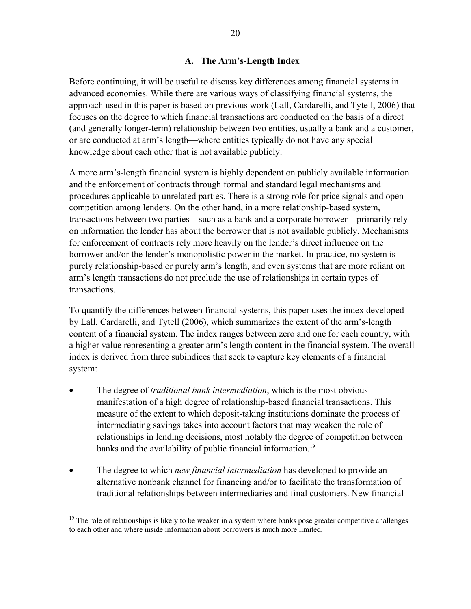### **A. The Arm's-Length Index**

<span id="page-21-0"></span>Before continuing, it will be useful to discuss key differences among financial systems in advanced economies. While there are various ways of classifying financial systems, the approach used in this paper is based on previous work (Lall, Cardarelli, and Tytell, 2006) that focuses on the degree to which financial transactions are conducted on the basis of a direct (and generally longer-term) relationship between two entities, usually a bank and a customer, or are conducted at arm's length—where entities typically do not have any special knowledge about each other that is not available publicly.

A more arm's-length financial system is highly dependent on publicly available information and the enforcement of contracts through formal and standard legal mechanisms and procedures applicable to unrelated parties. There is a strong role for price signals and open competition among lenders. On the other hand, in a more relationship-based system, transactions between two parties—such as a bank and a corporate borrower—primarily rely on information the lender has about the borrower that is not available publicly. Mechanisms for enforcement of contracts rely more heavily on the lender's direct influence on the borrower and/or the lender's monopolistic power in the market. In practice, no system is purely relationship-based or purely arm's length, and even systems that are more reliant on arm's length transactions do not preclude the use of relationships in certain types of transactions.

To quantify the differences between financial systems, this paper uses the index developed by Lall, Cardarelli, and Tytell (2006), which summarizes the extent of the arm's-length content of a financial system. The index ranges between zero and one for each country, with a higher value representing a greater arm's length content in the financial system. The overall index is derived from three subindices that seek to capture key elements of a financial system:

- The degree of *traditional bank intermediation*, which is the most obvious manifestation of a high degree of relationship-based financial transactions. This measure of the extent to which deposit-taking institutions dominate the process of intermediating savings takes into account factors that may weaken the role of relationships in lending decisions, most notably the degree of competition between banks and the availability of public financial information.<sup>[19](#page-21-1)</sup>
- The degree to which *new financial intermediation* has developed to provide an alternative nonbank channel for financing and/or to facilitate the transformation of traditional relationships between intermediaries and final customers. New financial

 $\overline{a}$ 

<span id="page-21-1"></span><sup>&</sup>lt;sup>19</sup> The role of relationships is likely to be weaker in a system where banks pose greater competitive challenges to each other and where inside information about borrowers is much more limited.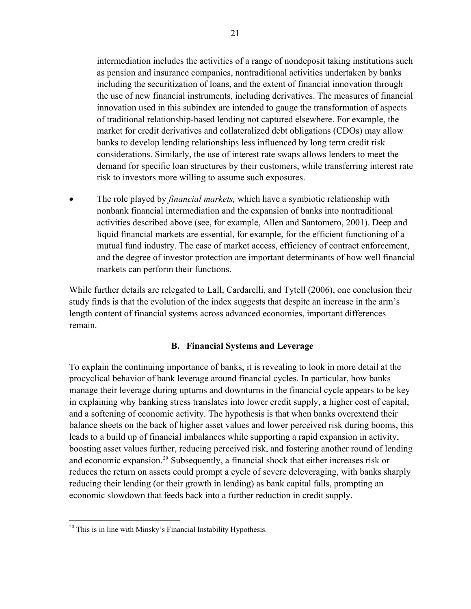<span id="page-22-0"></span>intermediation includes the activities of a range of nondeposit taking institutions such as pension and insurance companies, nontraditional activities undertaken by banks including the securitization of loans, and the extent of financial innovation through the use of new financial instruments, including derivatives. The measures of financial innovation used in this subindex are intended to gauge the transformation of aspects of traditional relationship-based lending not captured elsewhere. For example, the market for credit derivatives and collateralized debt obligations (CDOs) may allow banks to develop lending relationships less influenced by long term credit risk considerations. Similarly, the use of interest rate swaps allows lenders to meet the demand for specific loan structures by their customers, while transferring interest rate risk to investors more willing to assume such exposures.

• The role played by *financial markets,* which have a symbiotic relationship with nonbank financial intermediation and the expansion of banks into nontraditional activities described above (see, for example, Allen and Santomero, 2001). Deep and liquid financial markets are essential, for example, for the efficient functioning of a mutual fund industry. The ease of market access, efficiency of contract enforcement, and the degree of investor protection are important determinants of how well financial markets can perform their functions.

While further details are relegated to Lall, Cardarelli, and Tytell (2006), one conclusion their study finds is that the evolution of the index suggests that despite an increase in the arm's length content of financial systems across advanced economies, important differences remain.

### **B. Financial Systems and Leverage**

To explain the continuing importance of banks, it is revealing to look in more detail at the procyclical behavior of bank leverage around financial cycles. In particular, how banks manage their leverage during upturns and downturns in the financial cycle appears to be key in explaining why banking stress translates into lower credit supply, a higher cost of capital, and a softening of economic activity. The hypothesis is that when banks overextend their balance sheets on the back of higher asset values and lower perceived risk during booms, this leads to a build up of financial imbalances while supporting a rapid expansion in activity, boosting asset values further, reducing perceived risk, and fostering another round of lending and economic expansion.<sup>[20](#page-22-1)</sup> Subsequently, a financial shock that either increases risk or reduces the return on assets could prompt a cycle of severe deleveraging, with banks sharply reducing their lending (or their growth in lending) as bank capital falls, prompting an economic slowdown that feeds back into a further reduction in credit supply.

<span id="page-22-1"></span> $\overline{a}$  $20$  This is in line with Minsky's Financial Instability Hypothesis.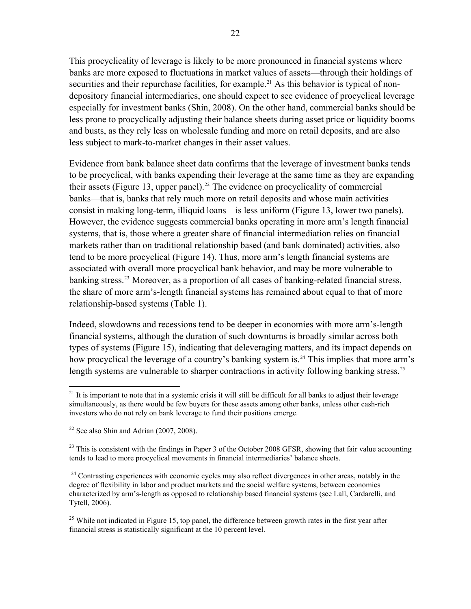This procyclicality of leverage is likely to be more pronounced in financial systems where banks are more exposed to fluctuations in market values of assets—through their holdings of securities and their repurchase facilities, for example.<sup>[21](#page-23-0)</sup> As this behavior is typical of nondepository financial intermediaries, one should expect to see evidence of procyclical leverage especially for investment banks (Shin, 2008). On the other hand, commercial banks should be less prone to procyclically adjusting their balance sheets during asset price or liquidity booms and busts, as they rely less on wholesale funding and more on retail deposits, and are also less subject to mark-to-market changes in their asset values.

Evidence from bank balance sheet data confirms that the leverage of investment banks tends to be procyclical, with banks expending their leverage at the same time as they are expanding their assets (Figure 13, upper panel).<sup>[22](#page-23-1)</sup> The evidence on procyclicality of commercial banks—that is, banks that rely much more on retail deposits and whose main activities consist in making long-term, illiquid loans—is less uniform (Figure 13, lower two panels). However, the evidence suggests commercial banks operating in more arm's length financial systems, that is, those where a greater share of financial intermediation relies on financial markets rather than on traditional relationship based (and bank dominated) activities, also tend to be more procyclical (Figure 14). Thus, more arm's length financial systems are associated with overall more procyclical bank behavior, and may be more vulnerable to banking stress. [23](#page-23-2) Moreover, as a proportion of all cases of banking-related financial stress, relationship-based systems (Table 1). the share of more arm's-length financial systems has remained about equal to that of more

Indeed, slowdowns and recessions tend to be deeper in economies with more arm's-length financial systems, although the duration of such downturns is broadly similar across both types of systems (Figure 15), indicating that deleveraging matters, and its impact depends on how procyclical the leverage of a country's banking system is.<sup>[24](#page-23-3)</sup> This implies that more arm's length systems are vulnerable to sharper contractions in activity following banking stress.<sup>[25](#page-23-4)</sup>

<span id="page-23-0"></span> $\overline{a}$  $21$  It is important to note that in a systemic crisis it will still be difficult for all banks to adjust their leverage simultaneously, as there would be few buyers for these assets among other banks, unless other cash-rich investors who do not rely on bank leverage to fund their positions emerge.

<span id="page-23-1"></span> $22$  See also Shin and Adrian (2007, 2008).

<span id="page-23-2"></span> $^{23}$  This is consistent with the findings in Paper 3 of the October 2008 GFSR, showing that fair value accounting tends to lead to more procyclical movements in financial intermediaries' balance sheets.

<span id="page-23-3"></span><sup>&</sup>lt;sup>24</sup> Contrasting experiences with economic cycles may also reflect divergences in other areas, notably in the degree of flexibility in labor and product markets and the social welfare systems, between economies characterized by arm's-length as opposed to relationship based financial systems (see Lall, Cardarelli, and Tytell, 2006).

<span id="page-23-4"></span> $25$  While not indicated in Figure 15, top panel, the difference between growth rates in the first year after financial stress is statistically significant at the 10 percent level.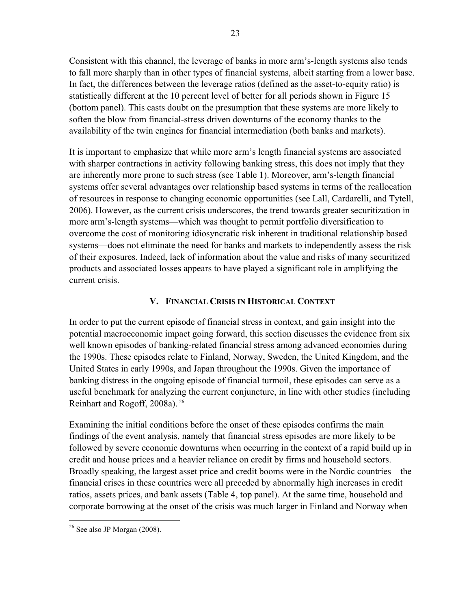<span id="page-24-0"></span>Consistent with this channel, the leverage of banks in more arm's-length systems also tends to fall more sharply than in other types of financial systems, albeit starting from a lower base. In fact, the differences between the leverage ratios (defined as the asset-to-equity ratio) is statistically different at the 10 percent level of better for all periods shown in Figure 15 (bottom panel). This casts doubt on the presumption that these systems are more likely to soften the blow from financial-stress driven downturns of the economy thanks to the availability of the twin engines for financial intermediation (both banks and markets).

It is important to emphasize that while more arm's length financial systems are associated with sharper contractions in activity following banking stress, this does not imply that they are inherently more prone to such stress (see Table 1). Moreover, arm's-length financial systems offer several advantages over relationship based systems in terms of the reallocation of resources in response to changing economic opportunities (see Lall, Cardarelli, and Tytell, 2006). However, as the current crisis underscores, the trend towards greater securitization in more arm's-length systems—which was thought to permit portfolio diversification to overcome the cost of monitoring idiosyncratic risk inherent in traditional relationship based systems—does not eliminate the need for banks and markets to independently assess the risk of their exposures. Indeed, lack of information about the value and risks of many securitized products and associated losses appears to have played a significant role in amplifying the current crisis.

### **V. FINANCIAL CRISIS IN HISTORICAL CONTEXT**

In order to put the current episode of financial stress in context, and gain insight into the potential macroeconomic impact going forward, this section discusses the evidence from six well known episodes of banking-related financial stress among advanced economies during the 1990s. These episodes relate to Finland, Norway, Sweden, the United Kingdom, and the United States in early 1990s, and Japan throughout the 1990s. Given the importance of banking distress in the ongoing episode of financial turmoil, these episodes can serve as a useful benchmark for analyzing the current conjuncture, in line with other studies (including Reinhart and Rogoff, 2008a). [26](#page-24-1)

Examining the initial conditions before the onset of these episodes confirms the main findings of the event analysis, namely that financial stress episodes are more likely to be followed by severe economic downturns when occurring in the context of a rapid build up in credit and house prices and a heavier reliance on credit by firms and household sectors. Broadly speaking, the largest asset price and credit booms were in the Nordic countries—the financial crises in these countries were all preceded by abnormally high increases in credit ratios, assets prices, and bank assets (Table 4, top panel). At the same time, household and corporate borrowing at the onset of the crisis was much larger in Finland and Norway when

<span id="page-24-1"></span> $\overline{a}$  $26$  See also JP Morgan (2008).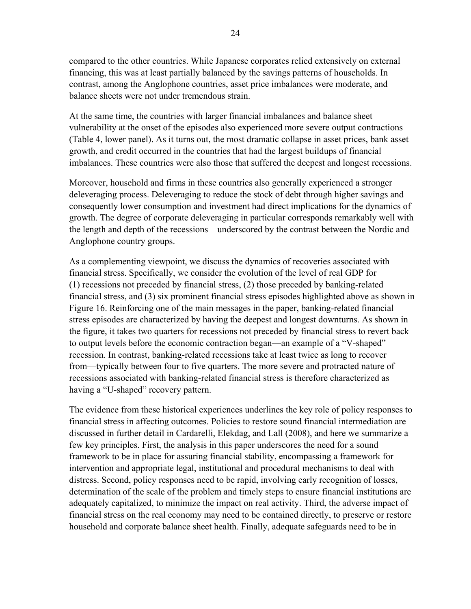compared to the other countries. While Japanese corporates relied extensively on external financing, this was at least partially balanced by the savings patterns of households. In contrast, among the Anglophone countries, asset price imbalances were moderate, and balance sheets were not under tremendous strain.

At the same time, the countries with larger financial imbalances and balance sheet vulnerability at the onset of the episodes also experienced more severe output contractions (Table 4, lower panel). As it turns out, the most dramatic collapse in asset prices, bank asset growth, and credit occurred in the countries that had the largest buildups of financial imbalances. These countries were also those that suffered the deepest and longest recessions.

Moreover, household and firms in these countries also generally experienced a stronger deleveraging process. Deleveraging to reduce the stock of debt through higher savings and consequently lower consumption and investment had direct implications for the dynamics of growth. The degree of corporate deleveraging in particular corresponds remarkably well with the length and depth of the recessions—underscored by the contrast between the Nordic and Anglophone country groups.

As a complementing viewpoint, we discuss the dynamics of recoveries associated with financial stress. Specifically, we consider the evolution of the level of real GDP for (1) recessions not preceded by financial stress, (2) those preceded by banking-related financial stress, and (3) six prominent financial stress episodes highlighted above as shown in Figure 16. Reinforcing one of the main messages in the paper, banking-related financial stress episodes are characterized by having the deepest and longest downturns. As shown in the figure, it takes two quarters for recessions not preceded by financial stress to revert back to output levels before the economic contraction began—an example of a "V-shaped" recession. In contrast, banking-related recessions take at least twice as long to recover from—typically between four to five quarters. The more severe and protracted nature of recessions associated with banking-related financial stress is therefore characterized as having a "U-shaped" recovery pattern.

The evidence from these historical experiences underlines the key role of policy responses to financial stress in affecting outcomes. Policies to restore sound financial intermediation are discussed in further detail in Cardarelli, Elekdag, and Lall (2008), and here we summarize a few key principles. First, the analysis in this paper underscores the need for a sound framework to be in place for assuring financial stability, encompassing a framework for intervention and appropriate legal, institutional and procedural mechanisms to deal with distress. Second, policy responses need to be rapid, involving early recognition of losses, determination of the scale of the problem and timely steps to ensure financial institutions are adequately capitalized, to minimize the impact on real activity. Third, the adverse impact of financial stress on the real economy may need to be contained directly, to preserve or restore household and corporate balance sheet health. Finally, adequate safeguards need to be in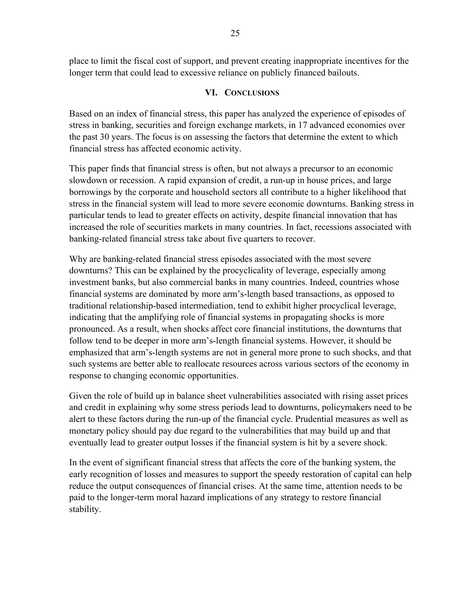<span id="page-26-0"></span>place to limit the fiscal cost of support, and prevent creating inappropriate incentives for the longer term that could lead to excessive reliance on publicly financed bailouts.

### **VI. CONCLUSIONS**

Based on an index of financial stress, this paper has analyzed the experience of episodes of stress in banking, securities and foreign exchange markets, in 17 advanced economies over the past 30 years. The focus is on assessing the factors that determine the extent to which financial stress has affected economic activity.

This paper finds that financial stress is often, but not always a precursor to an economic slowdown or recession. A rapid expansion of credit, a run-up in house prices, and large borrowings by the corporate and household sectors all contribute to a higher likelihood that stress in the financial system will lead to more severe economic downturns. Banking stress in particular tends to lead to greater effects on activity, despite financial innovation that has increased the role of securities markets in many countries. In fact, recessions associated with banking-related financial stress take about five quarters to recover.

Why are banking-related financial stress episodes associated with the most severe downturns? This can be explained by the procyclicality of leverage, especially among investment banks, but also commercial banks in many countries. Indeed, countries whose financial systems are dominated by more arm's-length based transactions, as opposed to traditional relationship-based intermediation, tend to exhibit higher procyclical leverage, indicating that the amplifying role of financial systems in propagating shocks is more pronounced. As a result, when shocks affect core financial institutions, the downturns that follow tend to be deeper in more arm's-length financial systems. However, it should be emphasized that arm's-length systems are not in general more prone to such shocks, and that such systems are better able to reallocate resources across various sectors of the economy in response to changing economic opportunities.

Given the role of build up in balance sheet vulnerabilities associated with rising asset prices and credit in explaining why some stress periods lead to downturns, policymakers need to be alert to these factors during the run-up of the financial cycle. Prudential measures as well as monetary policy should pay due regard to the vulnerabilities that may build up and that eventually lead to greater output losses if the financial system is hit by a severe shock.

In the event of significant financial stress that affects the core of the banking system, the early recognition of losses and measures to support the speedy restoration of capital can help reduce the output consequences of financial crises. At the same time, attention needs to be paid to the longer-term moral hazard implications of any strategy to restore financial stability.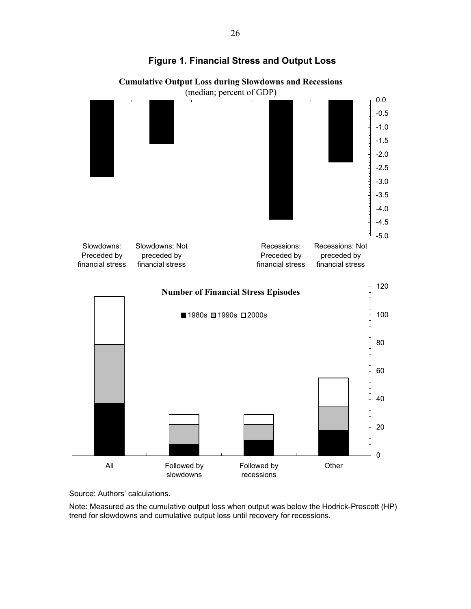

# **Cumulative Output Loss during Slowdowns and Recessions**

Source: Authors' calculations.

Note: Measured as the cumulative output loss when output was below the Hodrick-Prescott (HP) trend for slowdowns and cumulative output loss until recovery for recessions.

**Figure 1. Financial Stress and Output Loss**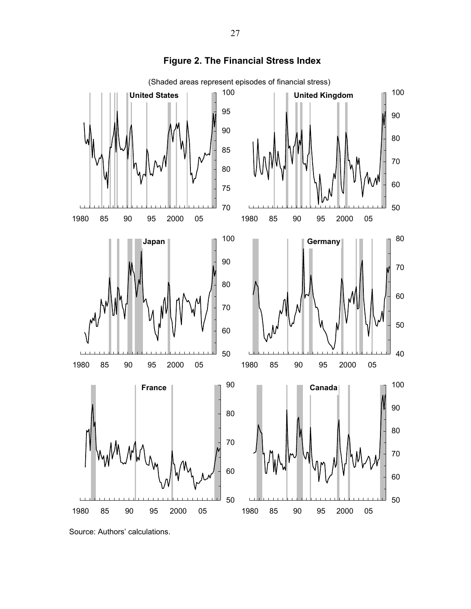

### **Figure 2. The Financial Stress Index**

Source: Authors' calculations.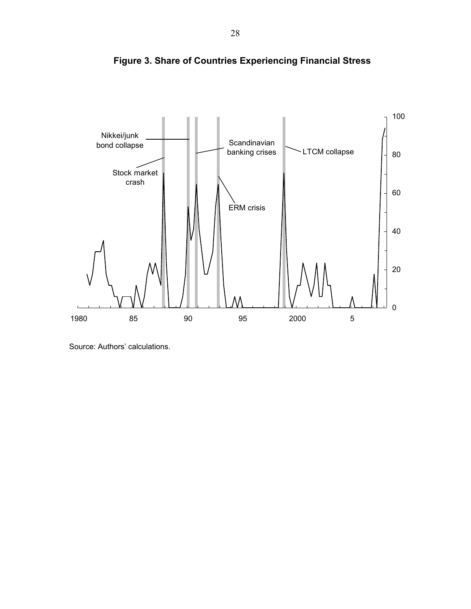

**Figure 3. Share of Countries Experiencing Financial Stress**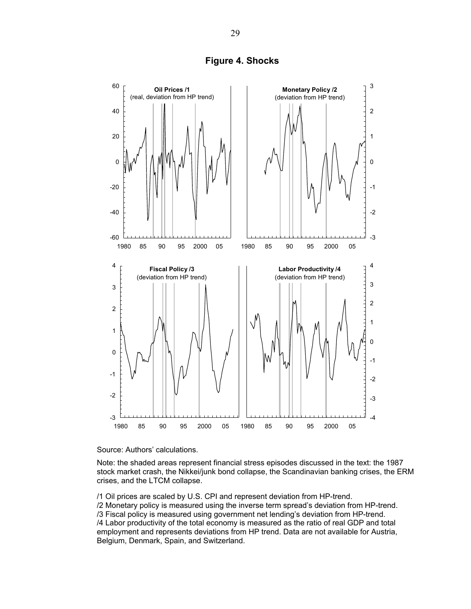



Note: the shaded areas represent financial stress episodes discussed in the text: the 1987 stock market crash, the Nikkei/junk bond collapse, the Scandinavian banking crises, the ERM crises, and the LTCM collapse.

/1 Oil prices are scaled by U.S. CPI and represent deviation from HP-trend. /2 Monetary policy is measured using the inverse term spread's deviation from HP-trend. /3 Fiscal policy is measured using government net lending's deviation from HP-trend. /4 Labor productivity of the total economy is measured as the ratio of real GDP and total employment and represents deviations from HP trend. Data are not available for Austria, Belgium, Denmark, Spain, and Switzerland.

Source: Authors' calculations.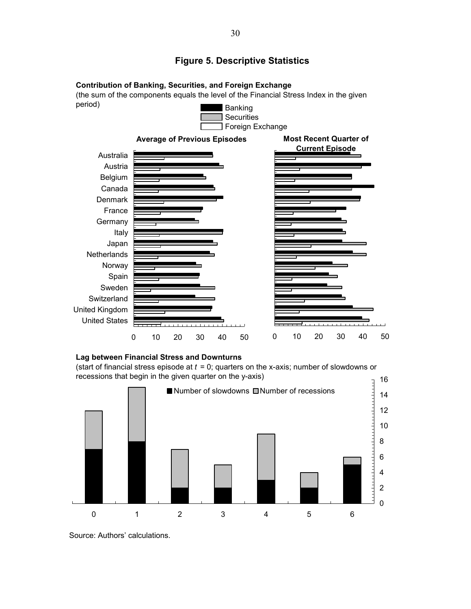

### **Figure 5. Descriptive Statistics**

#### **Lag between Financial Stress and Downturns**

(start of financial stress episode at  $t = 0$ ; quarters on the x-axis; number of slowdowns or recessions that begin in the given quarter on the y-axis)

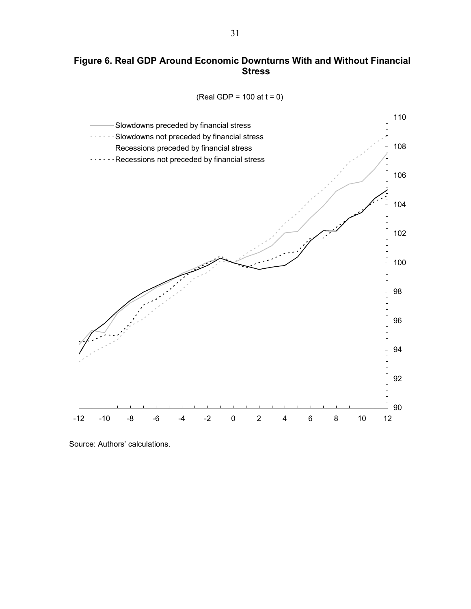**Figure 6. Real GDP Around Economic Downturns With and Without Financial Stress** 



 $(Real GDP = 100 at t = 0)$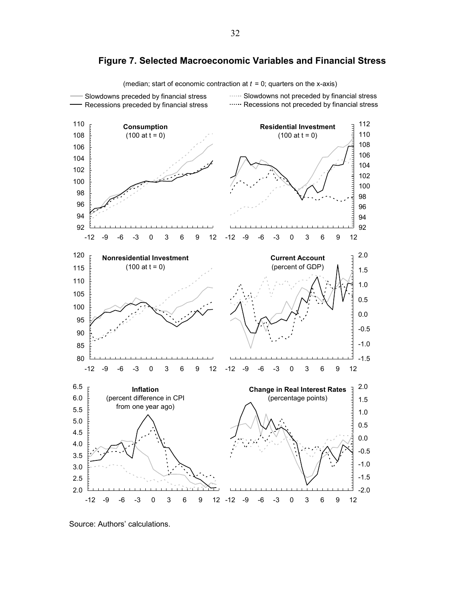

**Figure 7. Selected Macroeconomic Variables and Financial Stress** 

(median; start of economic contraction at *t* = 0; quarters on the x-axis)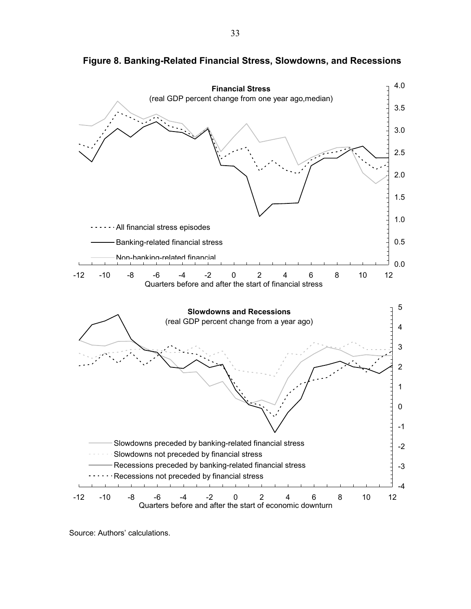

**Figure 8. Banking-Related Financial Stress, Slowdowns, and Recessions**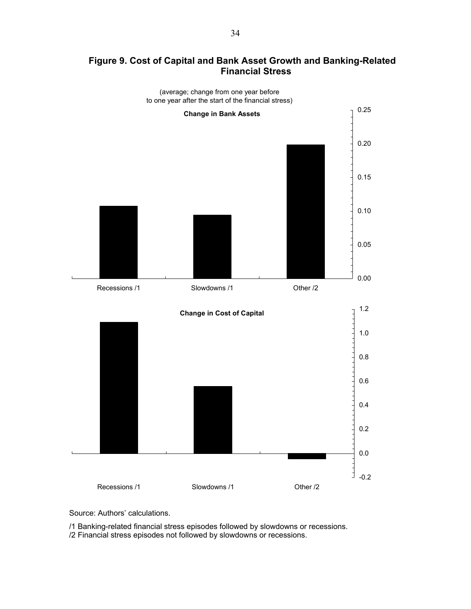

### **Figure 9. Cost of Capital and Bank Asset Growth and Banking-Related Financial Stress**

Source: Authors' calculations.

/1 Banking-related financial stress episodes followed by slowdowns or recessions. /2 Financial stress episodes not followed by slowdowns or recessions.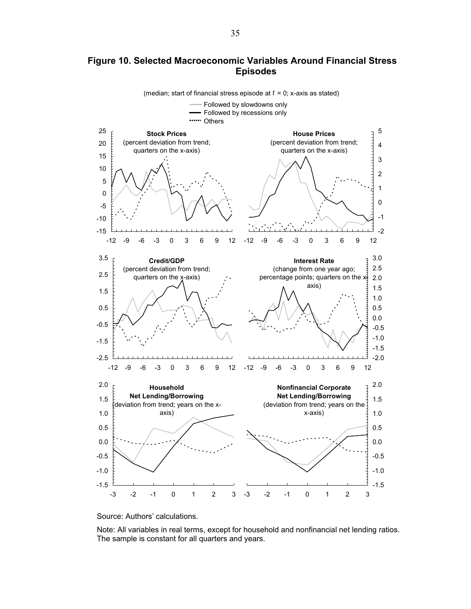### **Figure 10. Selected Macroeconomic Variables Around Financial Stress Episodes**





Note: All variables in real terms, except for household and nonfinancial net lending ratios. The sample is constant for all quarters and years.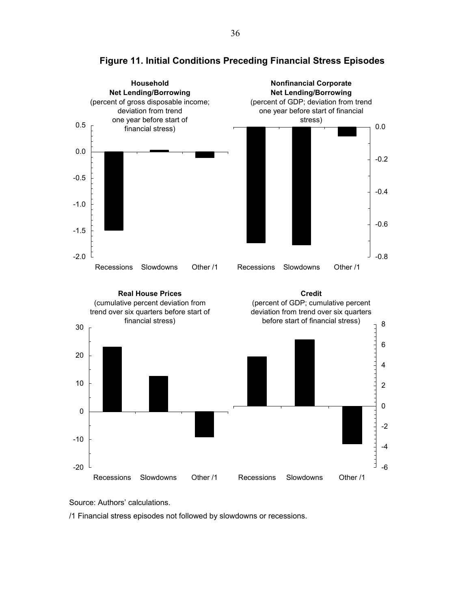



/1 Financial stress episodes not followed by slowdowns or recessions.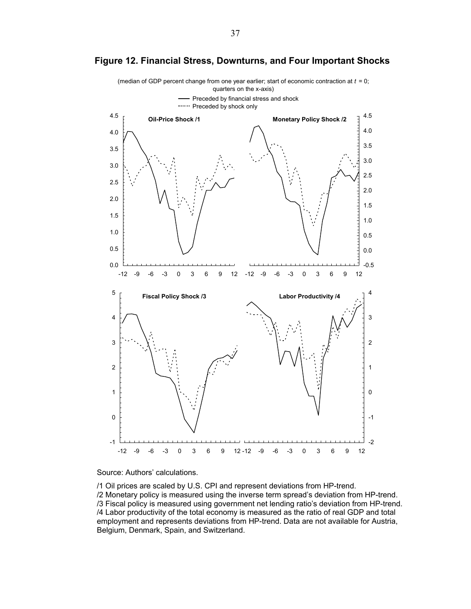

#### **Figure 12. Financial Stress, Downturns, and Four Important Shocks**



/1 Oil prices are scaled by U.S. CPI and represent deviations from HP-trend. /2 Monetary policy is measured using the inverse term spread's deviation from HP-trend. /3 Fiscal policy is measured using government net lending ratio's deviation from HP-trend. /4 Labor productivity of the total economy is measured as the ratio of real GDP and total employment and represents deviations from HP-trend. Data are not available for Austria, Belgium, Denmark, Spain, and Switzerland.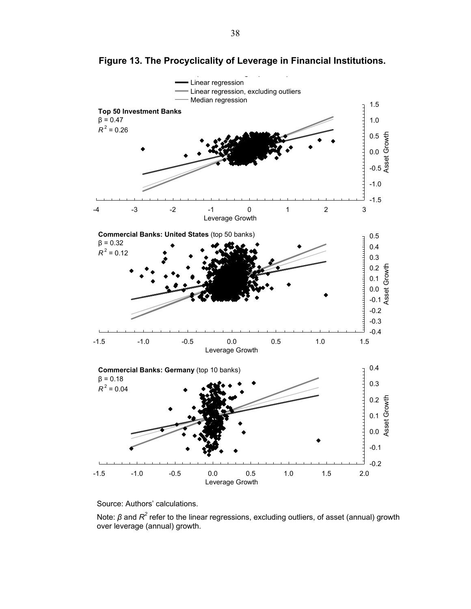

**Figure 13. The Procyclicality of Leverage in Financial Institutions.** 

Note: β and R<sup>2</sup> refer to the linear regressions, excluding outliers, of asset (annual) growth over leverage (annual) growth.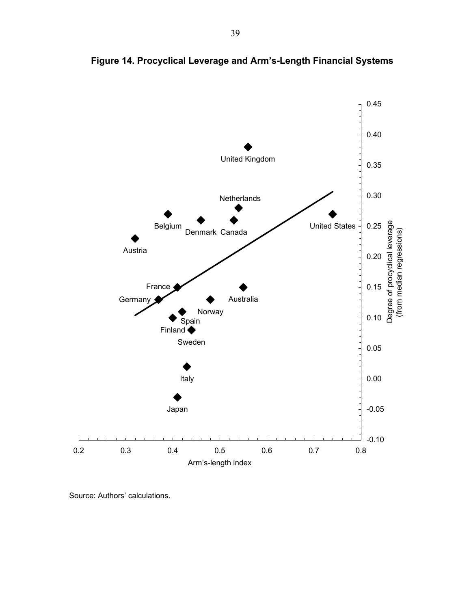

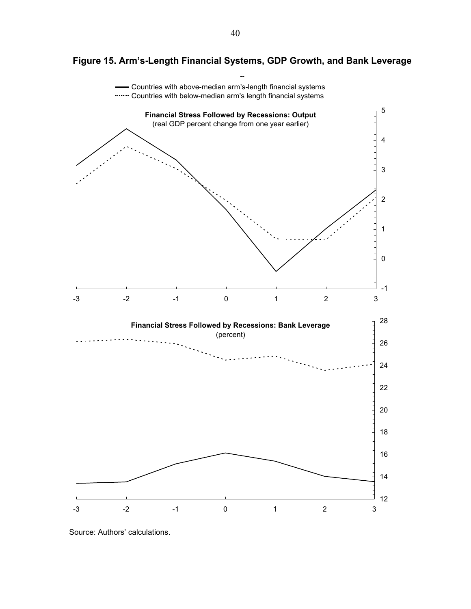

**Figure 15. Arm's-Length Financial Systems, GDP Growth, and Bank Leverage**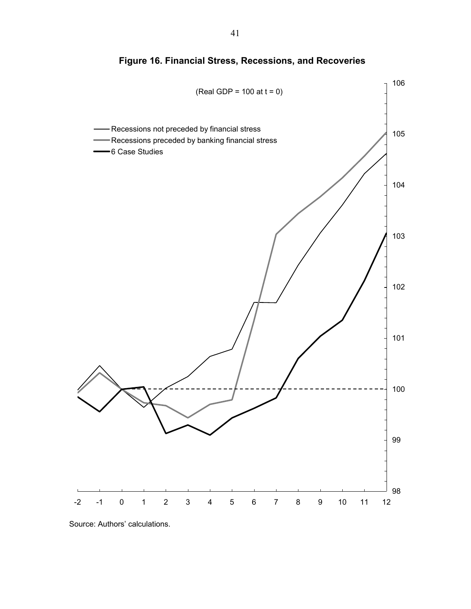

**Figure 16. Financial Stress, Recessions, and Recoveries**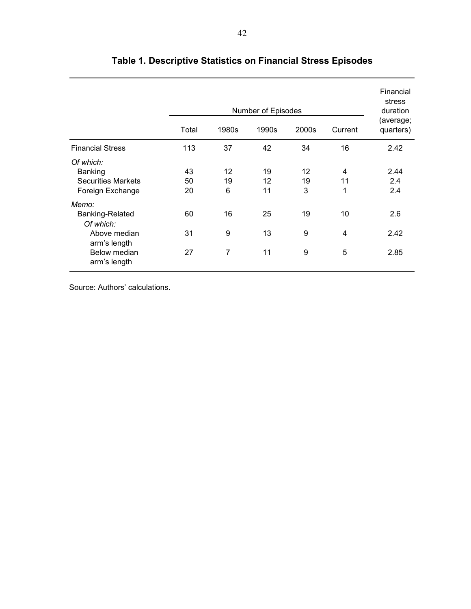|                                                                       |                |               | Number of Episodes |               |              | Financial<br>stress<br>duration |
|-----------------------------------------------------------------------|----------------|---------------|--------------------|---------------|--------------|---------------------------------|
|                                                                       | Total          | 1980s         | 1990s              | 2000s         | Current      | (average;<br>quarters)          |
| <b>Financial Stress</b>                                               | 113            | 37            | 42                 | 34            | 16           | 2.42                            |
| Of which:<br>Banking<br><b>Securities Markets</b><br>Foreign Exchange | 43<br>50<br>20 | 12<br>19<br>6 | 19<br>12<br>11     | 12<br>19<br>3 | 4<br>11<br>1 | 2.44<br>2.4<br>2.4              |
| Memo:<br>Banking-Related<br>Of which:                                 | 60             | 16            | 25                 | 19            | 10           | 2.6                             |
| Above median<br>arm's length<br>Below median<br>arm's length          | 31<br>27       | 9<br>7        | 13<br>11           | 9<br>9        | 4<br>5       | 2.42<br>2.85                    |

# **Table 1. Descriptive Statistics on Financial Stress Episodes**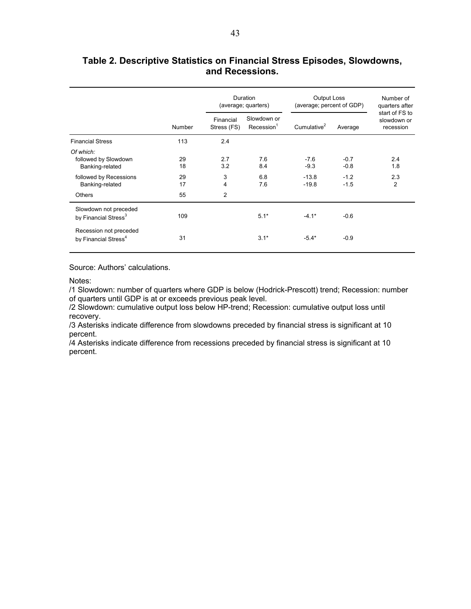### **Table 2. Descriptive Statistics on Financial Stress Episodes, Slowdowns, and Recessions.**

|                                                                                |                | Duration<br>(average; quarters) |                                       | <b>Output Loss</b><br>(average; percent of GDP) | Number of<br>quarters after |                                            |
|--------------------------------------------------------------------------------|----------------|---------------------------------|---------------------------------------|-------------------------------------------------|-----------------------------|--------------------------------------------|
|                                                                                | Number         | Financial<br>Stress (FS)        | Slowdown or<br>Recession <sup>1</sup> | Cumulative <sup>2</sup>                         | Average                     | start of FS to<br>slowdown or<br>recession |
| <b>Financial Stress</b>                                                        | 113            | 2.4                             |                                       |                                                 |                             |                                            |
| Of which:<br>followed by Slowdown<br>Banking-related<br>followed by Recessions | 29<br>18<br>29 | 2.7<br>3.2<br>3                 | 7.6<br>8.4<br>6.8                     | $-7.6$<br>$-9.3$<br>$-13.8$                     | $-0.7$<br>$-0.8$<br>$-1.2$  | 2.4<br>1.8<br>2.3                          |
| Banking-related                                                                | 17             | 4                               | 7.6                                   | $-19.8$                                         | $-1.5$                      | $\overline{2}$                             |
| <b>Others</b>                                                                  | 55             | $\overline{2}$                  |                                       |                                                 |                             |                                            |
| Slowdown not preceded<br>by Financial Stress <sup>3</sup>                      | 109            |                                 | $5.1*$                                | $-4.1*$                                         | $-0.6$                      |                                            |
| Recession not preceded<br>by Financial Stress <sup>4</sup>                     | 31             |                                 | $3.1*$                                | $-5.4*$                                         | $-0.9$                      |                                            |

Source: Authors' calculations.

Notes:

/1 Slowdown: number of quarters where GDP is below (Hodrick-Prescott) trend; Recession: number of quarters until GDP is at or exceeds previous peak level.

/2 Slowdown: cumulative output loss below HP-trend; Recession: cumulative output loss until recovery.

/3 Asterisks indicate difference from slowdowns preceded by financial stress is significant at 10 percent.

/4 Asterisks indicate difference from recessions preceded by financial stress is significant at 10 percent.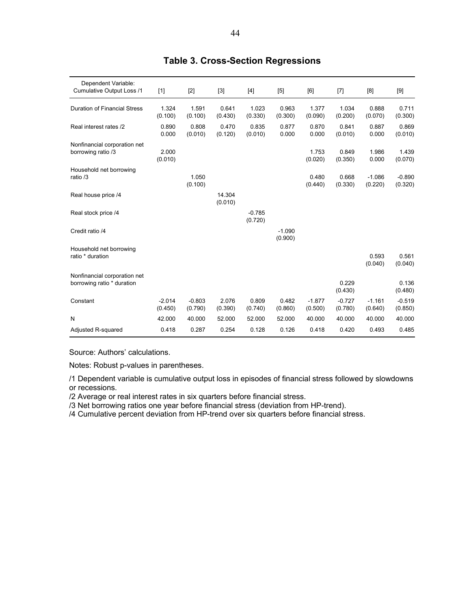| Dependent Variable:<br>Cumulative Output Loss /1           | $[1]$               | $[2]$               | $[3]$             | $[4] % \includegraphics[width=0.9\columnwidth]{figures/fig_4} \caption{A=}\label{fig:2} %$ | $[5]$               | [6]                 | $[7]$               | [8]                 | $[9]$               |
|------------------------------------------------------------|---------------------|---------------------|-------------------|--------------------------------------------------------------------------------------------|---------------------|---------------------|---------------------|---------------------|---------------------|
|                                                            |                     |                     |                   |                                                                                            |                     |                     |                     |                     |                     |
| <b>Duration of Financial Stress</b>                        | 1.324<br>(0.100)    | 1.591<br>(0.100)    | 0.641<br>(0.430)  | 1.023<br>(0.330)                                                                           | 0.963<br>(0.300)    | 1.377<br>(0.090)    | 1.034<br>(0.200)    | 0.888<br>(0.070)    | 0.711<br>(0.300)    |
| Real interest rates /2                                     | 0.890<br>0.000      | 0.808<br>(0.010)    | 0.470<br>(0.120)  | 0.835<br>(0.010)                                                                           | 0.877<br>0.000      | 0.870<br>0.000      | 0.841<br>(0.010)    | 0.887<br>0.000      | 0.869<br>(0.010)    |
| Nonfinancial corporation net<br>borrowing ratio /3         | 2.000<br>(0.010)    |                     |                   |                                                                                            |                     | 1.753<br>(0.020)    | 0.849<br>(0.350)    | 1.986<br>0.000      | 1.439<br>(0.070)    |
| Household net borrowing<br>ratio /3                        |                     | 1.050<br>(0.100)    |                   |                                                                                            |                     | 0.480<br>(0.440)    | 0.668<br>(0.330)    | $-1.086$<br>(0.220) | $-0.890$<br>(0.320) |
| Real house price /4                                        |                     |                     | 14.304<br>(0.010) |                                                                                            |                     |                     |                     |                     |                     |
| Real stock price /4                                        |                     |                     |                   | $-0.785$<br>(0.720)                                                                        |                     |                     |                     |                     |                     |
| Credit ratio /4                                            |                     |                     |                   |                                                                                            | $-1.090$<br>(0.900) |                     |                     |                     |                     |
| Household net borrowing                                    |                     |                     |                   |                                                                                            |                     |                     |                     |                     |                     |
| ratio * duration                                           |                     |                     |                   |                                                                                            |                     |                     |                     | 0.593<br>(0.040)    | 0.561<br>(0.040)    |
| Nonfinancial corporation net<br>borrowing ratio * duration |                     |                     |                   |                                                                                            |                     |                     | 0.229<br>(0.430)    |                     | 0.136<br>(0.480)    |
| Constant                                                   | $-2.014$<br>(0.450) | $-0.803$<br>(0.790) | 2.076<br>(0.390)  | 0.809<br>(0.740)                                                                           | 0.482<br>(0.860)    | $-1.877$<br>(0.500) | $-0.727$<br>(0.780) | $-1.161$<br>(0.640) | $-0.519$<br>(0.850) |
| N                                                          | 42.000              | 40.000              | 52.000            | 52.000                                                                                     | 52.000              | 40.000              | 40.000              | 40.000              | 40.000              |
| <b>Adjusted R-squared</b>                                  | 0.418               | 0.287               | 0.254             | 0.128                                                                                      | 0.126               | 0.418               | 0.420               | 0.493               | 0.485               |

### **Table 3. Cross-Section Regressions**

Source: Authors' calculations.

Notes: Robust p-values in parentheses.

/1 Dependent variable is cumulative output loss in episodes of financial stress followed by slowdowns or recessions.

/2 Average or real interest rates in six quarters before financial stress.

/3 Net borrowing ratios one year before financial stress (deviation from HP-trend).

/4 Cumulative percent deviation from HP-trend over six quarters before financial stress.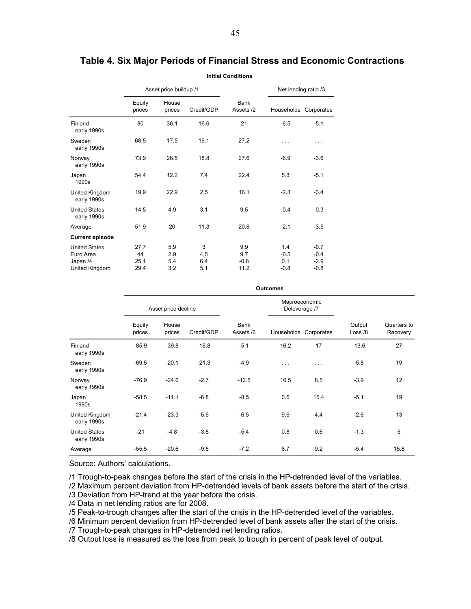|                                                                 | <b>Initial Conditions</b>  |                          |                        |                              |                                |                                      |  |  |
|-----------------------------------------------------------------|----------------------------|--------------------------|------------------------|------------------------------|--------------------------------|--------------------------------------|--|--|
|                                                                 | Asset price buildup /1     |                          |                        |                              |                                | Net lending ratio /3                 |  |  |
|                                                                 | Equity<br>prices           | House<br>prices          | Credit/GDP             | Bank<br>Assets /2            | Households Corporates          |                                      |  |  |
| Finland<br>early 1990s                                          | 80                         | 36.1                     | 16.6                   | 21                           | $-6.5$                         | $-5.1$                               |  |  |
| Sweden<br>early 1990s                                           | 68.5                       | 17.5                     | 19.1                   | 27.2                         | .                              | .                                    |  |  |
| Norway<br>early 1990s                                           | 73.9                       | 26.5                     | 18.8                   | 27.6                         | $-6.9$                         | $-3.6$                               |  |  |
| Japan<br>1990s                                                  | 54.4                       | 12.2                     | 7.4                    | 22.4                         | 5.3                            | $-5.1$                               |  |  |
| United Kingdom<br>early 1990s                                   | 19.9                       | 22.9                     | 2.5                    | 16.1                         | $-2.3$                         | $-3.4$                               |  |  |
| <b>United States</b><br>early 1990s                             | 14.5                       | 4.9                      | 3.1                    | 9.5                          | $-0.4$                         | $-0.3$                               |  |  |
| Average                                                         | 51.9                       | 20                       | 11.3                   | 20.6                         | $-2.1$                         | $-3.5$                               |  |  |
| <b>Current episode</b>                                          |                            |                          |                        |                              |                                |                                      |  |  |
| <b>United States</b><br>Euro Area<br>Japan /4<br>United Kingdom | 27.7<br>44<br>25.1<br>29.4 | 5.9<br>2.9<br>5.4<br>3.2 | 3<br>4.5<br>6.4<br>5.1 | 9.9<br>9.7<br>$-0.8$<br>11.2 | 1.4<br>$-0.5$<br>0.1<br>$-0.8$ | $-0.7$<br>$-0.4$<br>$-2.9$<br>$-0.8$ |  |  |

### **Table 4. Six Major Periods of Financial Stress and Economic Contractions**

|                                     |                  | <b>Outcomes</b>     |            |                          |                                |          |                     |                         |  |
|-------------------------------------|------------------|---------------------|------------|--------------------------|--------------------------------|----------|---------------------|-------------------------|--|
|                                     |                  | Asset price decline |            |                          | Macroeconomic<br>Deleverage /7 |          |                     |                         |  |
|                                     | Equity<br>prices | House<br>prices     | Credit/GDP | <b>Bank</b><br>Assets /6 | Households Corporates          |          | Output<br>Loss $/8$ | Quarters to<br>Recovery |  |
| Finland<br>early 1990s              | $-85.9$          | $-39.8$             | $-16.8$    | $-5.1$                   | 16.2                           | 17       | $-13.6$             | 27                      |  |
| Sweden<br>early 1990s               | $-69.5$          | $-20.1$             | $-21.3$    | $-4.9$                   | .                              | $\cdots$ | $-5.8$              | 19                      |  |
| Norway<br>early 1990s               | $-76.9$          | $-24.6$             | $-2.7$     | $-12.5$                  | 16.5                           | 8.5      | $-3.9$              | 12                      |  |
| Japan<br>1990s                      | $-58.5$          | $-11.1$             | $-6.8$     | $-8.5$                   | 0.5                            | 15.4     | $-5.1$              | 19                      |  |
| United Kingdom<br>early 1990s       | $-21.4$          | $-23.3$             | $-5.6$     | $-6.5$                   | 9.6                            | 4.4      | $-2.6$              | 13                      |  |
| <b>United States</b><br>early 1990s | $-21$            | $-4.8$              | $-3.8$     | $-5.4$                   | 0.8                            | 0.6      | $-1.3$              | 5                       |  |
| Average                             | $-55.5$          | $-20.6$             | $-9.5$     | $-7.2$                   | 8.7                            | 9.2      | $-5.4$              | 15.8                    |  |

Source: Authors' calculations.

/1 Trough-to-peak changes before the start of the crisis in the HP-detrended level of the variables.

/2 Maximum percent deviation from HP-detrended levels of bank assets before the start of the crisis.

/3 Deviation from HP-trend at the year before the crisis.

/4 Data in net lending ratios are for 2008.

/5 Peak-to-trough changes after the start of the crisis in the HP-detrended level of the variables.

/6 Minimum percent deviation from HP-detrended level of bank assets after the start of the crisis.

/7 Trough-to-peak changes in HP-detrended net lending ratios.

/8 Output loss is measured as the loss from peak to trough in percent of peak level of output.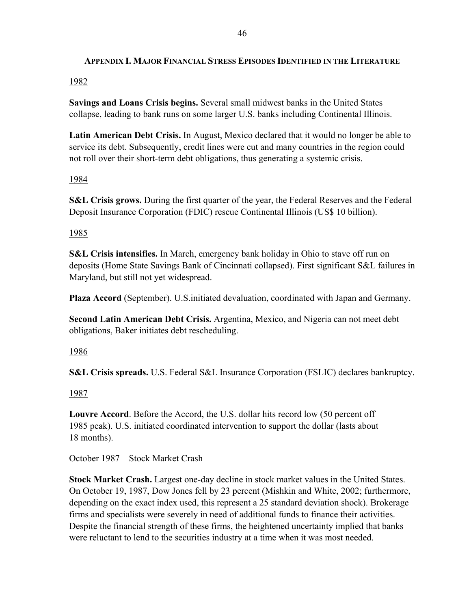### **APPENDIX I. MAJOR FINANCIAL STRESS EPISODES IDENTIFIED IN THE LITERATURE**

### 1982

**Savings and Loans Crisis begins.** Several small midwest banks in the United States collapse, leading to bank runs on some larger U.S. banks including Continental Illinois.

**Latin American Debt Crisis.** In August, Mexico declared that it would no longer be able to service its debt. Subsequently, credit lines were cut and many countries in the region could not roll over their short-term debt obligations, thus generating a systemic crisis.

### 1984

**S&L Crisis grows.** During the first quarter of the year, the Federal Reserves and the Federal Deposit Insurance Corporation (FDIC) rescue Continental Illinois (US\$ 10 billion).

### 1985

**S&L Crisis intensifies.** In March, emergency bank holiday in Ohio to stave off run on deposits (Home State Savings Bank of Cincinnati collapsed). First significant S&L failures in Maryland, but still not yet widespread.

**Plaza Accord** (September). U.S.initiated devaluation, coordinated with Japan and Germany.

**Second Latin American Debt Crisis.** Argentina, Mexico, and Nigeria can not meet debt obligations, Baker initiates debt rescheduling.

### 1986

**S&L Crisis spreads.** U.S. Federal S&L Insurance Corporation (FSLIC) declares bankruptcy.

### 1987

**Louvre Accord**. Before the Accord, the U.S. dollar hits record low (50 percent off 1985 peak). U.S. initiated coordinated intervention to support the dollar (lasts about 18 months).

October 1987—Stock Market Crash

**Stock Market Crash.** Largest one-day decline in stock market values in the United States. On October 19, 1987, Dow Jones fell by 23 percent (Mishkin and White, 2002; furthermore, depending on the exact index used, this represent a 25 standard deviation shock). Brokerage firms and specialists were severely in need of additional funds to finance their activities. Despite the financial strength of these firms, the heightened uncertainty implied that banks were reluctant to lend to the securities industry at a time when it was most needed.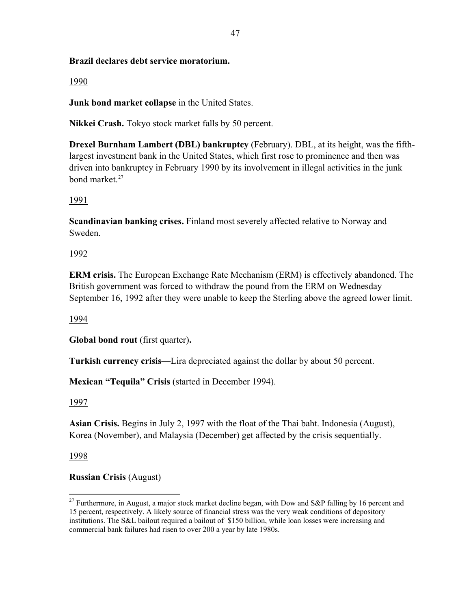### **Brazil declares debt service moratorium.**

1990

**Junk bond market collapse** in the United States.

**Nikkei Crash.** Tokyo stock market falls by 50 percent.

**Drexel Burnham Lambert (DBL) bankruptcy** (February). DBL, at its height, was the fifthlargest investment bank in the United States, which first rose to prominence and then was driven into bankruptcy in February 1990 by its involvement in illegal activities in the junk bond market $27$ 

1991

**Scandinavian banking crises.** Finland most severely affected relative to Norway and Sweden.

1992

**ERM crisis.** The European Exchange Rate Mechanism (ERM) is effectively abandoned. The British government was forced to withdraw the pound from the ERM on Wednesday September 16, 1992 after they were unable to keep the Sterling above the agreed lower limit.

1994

**Global bond rout** (first quarter)**.** 

**Turkish currency crisis**—Lira depreciated against the dollar by about 50 percent.

**Mexican "Tequila" Crisis** (started in December 1994).

1997

**Asian Crisis.** Begins in July 2, 1997 with the float of the Thai baht. Indonesia (August), Korea (November), and Malaysia (December) get affected by the crisis sequentially.

1998

 $\overline{a}$ 

**Russian Crisis** (August)

<span id="page-48-0"></span><sup>&</sup>lt;sup>27</sup> Furthermore, in August, a major stock market decline began, with Dow and S&P falling by 16 percent and 15 percent, respectively. A likely source of financial stress was the very weak conditions of depository institutions. The S&L bailout required a bailout of \$150 billion, while loan losses were increasing and commercial bank failures had risen to over 200 a year by late 1980s.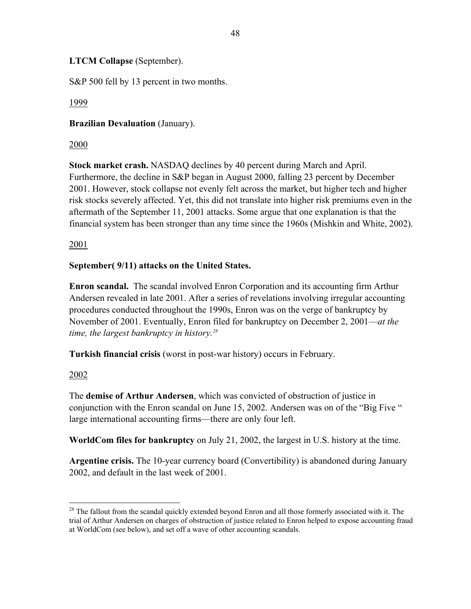### **LTCM Collapse** (September).

S&P 500 fell by 13 percent in two months.

1999

**Brazilian Devaluation** (January).

2000

**Stock market crash.** NASDAQ declines by 40 percent during March and April. Furthermore, the decline in S&P began in August 2000, falling 23 percent by December 2001. However, stock collapse not evenly felt across the market, but higher tech and higher risk stocks severely affected. Yet, this did not translate into higher risk premiums even in the aftermath of the September 11, 2001 attacks. Some argue that one explanation is that the financial system has been stronger than any time since the 1960s (Mishkin and White, 2002).

2001

### **September( 9/11) attacks on the United States.**

**Enron scandal.** The scandal involved Enron Corporation and its accounting firm Arthur Andersen revealed in late 2001. After a series of revelations involving irregular accounting procedures conducted throughout the 1990s, Enron was on the verge of bankruptcy by November of 2001. Eventually, Enron filed for bankruptcy on December 2, 2001—*at the time, the largest bankruptcy in history.[28](#page-49-0)*

**Turkish financial crisis** (worst in post-war history) occurs in February.

### 2002

 $\overline{a}$ 

The **demise of Arthur Andersen**, which was convicted of obstruction of justice in conjunction with the Enron scandal on June 15, 2002. Andersen was on of the "Big Five " large international accounting firms—there are only four left.

**WorldCom files for bankruptcy** on July 21, 2002, the largest in U.S. history at the time.

**Argentine crisis.** The 10-year currency board (Convertibility) is abandoned during January 2002, and default in the last week of 2001.

<span id="page-49-0"></span><sup>&</sup>lt;sup>28</sup> The fallout from the scandal quickly extended beyond Enron and all those formerly associated with it. The trial of Arthur Andersen on charges of obstruction of justice related to Enron helped to expose accounting fraud at WorldCom (see below), and set off a wave of other accounting scandals.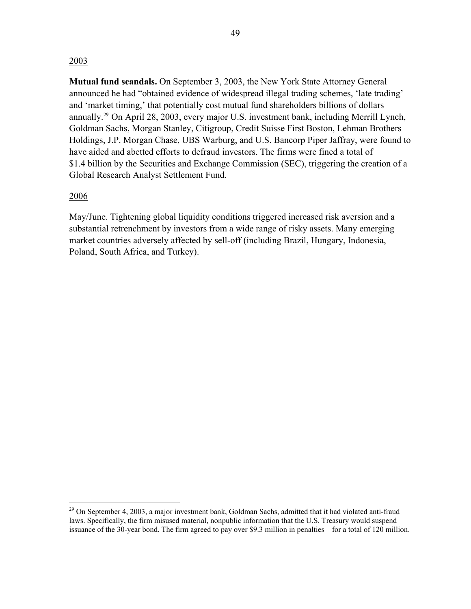### 2003

**Mutual fund scandals.** On September 3, 2003, the New York State Attorney General announced he had "obtained evidence of widespread illegal trading schemes, 'late trading' and 'market timing,' that potentially cost mutual fund shareholders billions of dollars annually.[29](#page-50-0) On April 28, 2003, every major U.S. investment bank, including Merrill Lynch, Goldman Sachs, Morgan Stanley, Citigroup, Credit Suisse First Boston, Lehman Brothers Holdings, J.P. Morgan Chase, UBS Warburg, and U.S. Bancorp Piper Jaffray, were found to have aided and abetted efforts to defraud investors. The firms were fined a total of \$1.4 billion by the Securities and Exchange Commission (SEC), triggering the creation of a Global Research Analyst Settlement Fund.

### 2006

 $\overline{a}$ 

May/June. Tightening global liquidity conditions triggered increased risk aversion and a substantial retrenchment by investors from a wide range of risky assets. Many emerging market countries adversely affected by sell-off (including Brazil, Hungary, Indonesia, Poland, South Africa, and Turkey).

<span id="page-50-0"></span><sup>&</sup>lt;sup>29</sup> On September 4, 2003, a major investment bank, Goldman Sachs, admitted that it had violated anti-fraud laws. Specifically, the firm misused material, nonpublic information that the U.S. Treasury would suspend issuance of the 30-year bond. The firm agreed to pay over \$9.3 million in penalties—for a total of 120 million.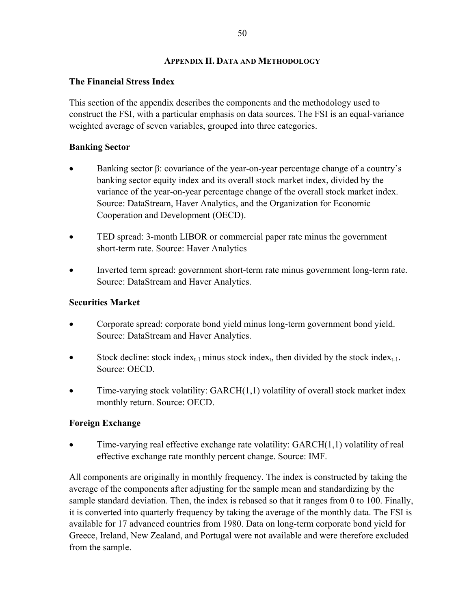### **APPENDIX II. DATA AND METHODOLOGY**

### **The Financial Stress Index**

This section of the appendix describes the components and the methodology used to construct the FSI, with a particular emphasis on data sources. The FSI is an equal-variance weighted average of seven variables, grouped into three categories.

### **Banking Sector**

- Banking sector β: covariance of the year-on-year percentage change of a country's banking sector equity index and its overall stock market index, divided by the variance of the year-on-year percentage change of the overall stock market index. Source: DataStream, Haver Analytics, and the Organization for Economic Cooperation and Development (OECD).
- TED spread: 3-month LIBOR or commercial paper rate minus the government short-term rate. Source: Haver Analytics
- Inverted term spread: government short-term rate minus government long-term rate. Source: DataStream and Haver Analytics.

### **Securities Market**

- Corporate spread: corporate bond yield minus long-term government bond yield. Source: DataStream and Haver Analytics.
- Stock decline: stock index<sub>t-1</sub> minus stock index<sub>t</sub>, then divided by the stock index<sub>t-1</sub>. Source: OECD.
- Time-varying stock volatility: GARCH(1,1) volatility of overall stock market index monthly return. Source: OECD.

### **Foreign Exchange**

• Time-varying real effective exchange rate volatility: GARCH(1,1) volatility of real effective exchange rate monthly percent change. Source: IMF.

All components are originally in monthly frequency. The index is constructed by taking the average of the components after adjusting for the sample mean and standardizing by the sample standard deviation. Then, the index is rebased so that it ranges from 0 to 100. Finally, it is converted into quarterly frequency by taking the average of the monthly data. The FSI is available for 17 advanced countries from 1980. Data on long-term corporate bond yield for Greece, Ireland, New Zealand, and Portugal were not available and were therefore excluded from the sample.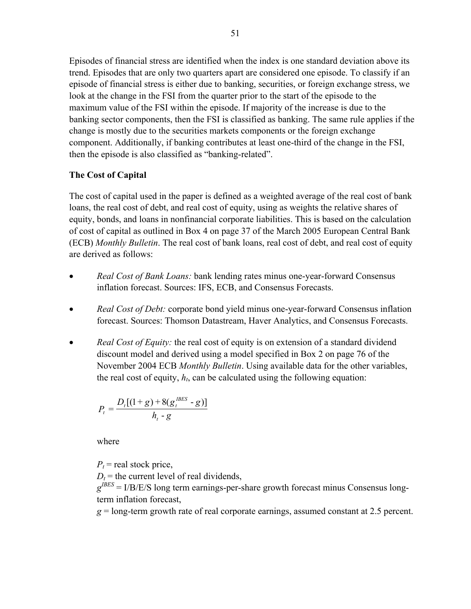Episodes of financial stress are identified when the index is one standard deviation above its trend. Episodes that are only two quarters apart are considered one episode. To classify if an episode of financial stress is either due to banking, securities, or foreign exchange stress, we look at the change in the FSI from the quarter prior to the start of the episode to the maximum value of the FSI within the episode. If majority of the increase is due to the banking sector components, then the FSI is classified as banking. The same rule applies if the change is mostly due to the securities markets components or the foreign exchange component. Additionally, if banking contributes at least one-third of the change in the FSI, then the episode is also classified as "banking-related".

### **The Cost of Capital**

The cost of capital used in the paper is defined as a weighted average of the real cost of bank loans, the real cost of debt, and real cost of equity, using as weights the relative shares of equity, bonds, and loans in nonfinancial corporate liabilities. This is based on the calculation of cost of capital as outlined in Box 4 on page 37 of the March 2005 European Central Bank (ECB) *Monthly Bulletin*. The real cost of bank loans, real cost of debt, and real cost of equity are derived as follows:

- *Real Cost of Bank Loans:* bank lending rates minus one-year-forward Consensus inflation forecast. Sources: IFS, ECB, and Consensus Forecasts.
- *Real Cost of Debt:* corporate bond yield minus one-year-forward Consensus inflation forecast. Sources: Thomson Datastream, Haver Analytics, and Consensus Forecasts.
- *Real Cost of Equity:* the real cost of equity is on extension of a standard dividend discount model and derived using a model specified in Box 2 on page 76 of the November 2004 ECB *Monthly Bulletin*. Using available data for the other variables, the real cost of equity,  $h_t$ , can be calculated using the following equation:

$$
P_{t} = \frac{D_{t}[(1+g) + 8(g_{t}^{IBES} - g)]}{h_{t} - g}
$$

where

 $P_t$  = real stock price,

 $D_t$  = the current level of real dividends,

*g IBES* = I/B/E/S long term earnings-per-share growth forecast minus Consensus longterm inflation forecast,

*g* = long-term growth rate of real corporate earnings, assumed constant at 2.5 percent.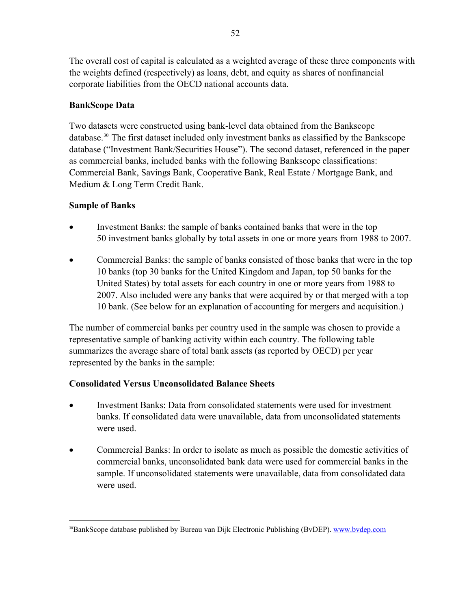The overall cost of capital is calculated as a weighted average of these three components with the weights defined (respectively) as loans, debt, and equity as shares of nonfinancial corporate liabilities from the OECD national accounts data.

### **BankScope Data**

Two datasets were constructed using bank-level data obtained from the Bankscope database.<sup>[30](#page-53-0)</sup> The first dataset included only investment banks as classified by the Bankscope database ("Investment Bank/Securities House"). The second dataset, referenced in the paper as commercial banks, included banks with the following Bankscope classifications: Commercial Bank, Savings Bank, Cooperative Bank, Real Estate / Mortgage Bank, and Medium & Long Term Credit Bank.

### **Sample of Banks**

- Investment Banks: the sample of banks contained banks that were in the top 50 investment banks globally by total assets in one or more years from 1988 to 2007.
- Commercial Banks: the sample of banks consisted of those banks that were in the top 10 banks (top 30 banks for the United Kingdom and Japan, top 50 banks for the United States) by total assets for each country in one or more years from 1988 to 2007. Also included were any banks that were acquired by or that merged with a top 10 bank. (See below for an explanation of accounting for mergers and acquisition.)

The number of commercial banks per country used in the sample was chosen to provide a representative sample of banking activity within each country. The following table summarizes the average share of total bank assets (as reported by OECD) per year represented by the banks in the sample:

### **Consolidated Versus Unconsolidated Balance Sheets**

- Investment Banks: Data from consolidated statements were used for investment banks. If consolidated data were unavailable, data from unconsolidated statements were used.
- Commercial Banks: In order to isolate as much as possible the domestic activities of commercial banks, unconsolidated bank data were used for commercial banks in the sample. If unconsolidated statements were unavailable, data from consolidated data were used.

<span id="page-53-0"></span> $\overline{a}$ <sup>30</sup>BankScope database published by Bureau van Dijk Electronic Publishing (BvDEP). [www.bvdep.com](http://www.bvdep.com/)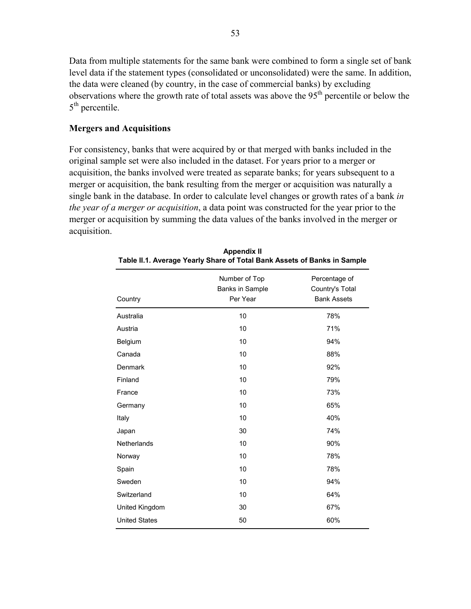Data from multiple statements for the same bank were combined to form a single set of bank level data if the statement types (consolidated or unconsolidated) were the same. In addition, the data were cleaned (by country, in the case of commercial banks) by excluding observations where the growth rate of total assets was above the  $95<sup>th</sup>$  percentile or below the  $5<sup>th</sup>$  percentile.

### **Mergers and Acquisitions**

For consistency, banks that were acquired by or that merged with banks included in the original sample set were also included in the dataset. For years prior to a merger or acquisition, the banks involved were treated as separate banks; for years subsequent to a merger or acquisition, the bank resulting from the merger or acquisition was naturally a single bank in the database. In order to calculate level changes or growth rates of a bank *in the year of a merger or acquisition*, a data point was constructed for the year prior to the merger or acquisition by summing the data values of the banks involved in the merger or acquisition.

| Country              | Number of Top<br>Banks in Sample<br>Per Year | Percentage of<br>Country's Total<br><b>Bank Assets</b> |
|----------------------|----------------------------------------------|--------------------------------------------------------|
| Australia            | 10                                           | 78%                                                    |
| Austria              | 10                                           | 71%                                                    |
| Belgium              | 10                                           | 94%                                                    |
| Canada               | 10                                           | 88%                                                    |
| Denmark              | 10                                           | 92%                                                    |
| Finland              | 10                                           | 79%                                                    |
| France               | 10                                           | 73%                                                    |
| Germany              | 10                                           | 65%                                                    |
| Italy                | 10                                           | 40%                                                    |
| Japan                | 30                                           | 74%                                                    |
| Netherlands          | 10                                           | 90%                                                    |
| Norway               | 10                                           | 78%                                                    |
| Spain                | 10                                           | 78%                                                    |
| Sweden               | 10                                           | 94%                                                    |
| Switzerland          | 10                                           | 64%                                                    |
| United Kingdom       | 30                                           | 67%                                                    |
| <b>United States</b> | 50                                           | 60%                                                    |

**Table II.1. Average Yearly Share of Total Bank Assets of Banks in Sample Appendix II**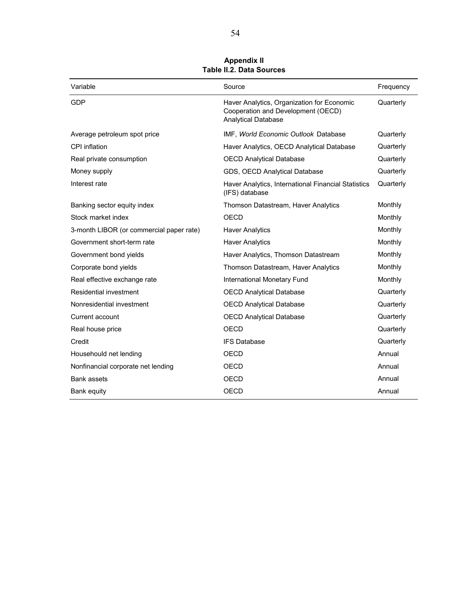|  | <b>Appendix II</b> |                          |
|--|--------------------|--------------------------|
|  |                    | Table II.2. Data Sources |

| Variable                                 | Source                                                                                                         | Frequency |
|------------------------------------------|----------------------------------------------------------------------------------------------------------------|-----------|
| GDP                                      | Haver Analytics, Organization for Economic<br>Cooperation and Development (OECD)<br><b>Analytical Database</b> | Quarterly |
| Average petroleum spot price             | IMF, World Economic Outlook Database                                                                           | Quarterly |
| CPI inflation                            | Haver Analytics, OECD Analytical Database                                                                      | Quarterly |
| Real private consumption                 | <b>OECD Analytical Database</b>                                                                                | Quarterly |
| Money supply                             | GDS, OECD Analytical Database                                                                                  | Quarterly |
| Interest rate                            | Haver Analytics, International Financial Statistics<br>(IFS) database                                          | Quarterly |
| Banking sector equity index              | Thomson Datastream, Haver Analytics                                                                            | Monthly   |
| Stock market index                       | OECD                                                                                                           | Monthly   |
| 3-month LIBOR (or commercial paper rate) | <b>Haver Analytics</b>                                                                                         | Monthly   |
| Government short-term rate               | <b>Haver Analytics</b>                                                                                         | Monthly   |
| Government bond yields                   | Haver Analytics, Thomson Datastream                                                                            | Monthly   |
| Corporate bond yields                    | Thomson Datastream, Haver Analytics                                                                            | Monthly   |
| Real effective exchange rate             | International Monetary Fund                                                                                    | Monthly   |
| Residential investment                   | <b>OECD Analytical Database</b>                                                                                | Quarterly |
| Nonresidential investment                | <b>OECD Analytical Database</b>                                                                                | Quarterly |
| Current account                          | <b>OECD Analytical Database</b>                                                                                | Quarterly |
| Real house price                         | <b>OECD</b>                                                                                                    | Quarterly |
| Credit                                   | <b>IFS Database</b>                                                                                            | Quarterly |
| Househould net lending                   | OECD                                                                                                           | Annual    |
| Nonfinancial corporate net lending       | OECD                                                                                                           | Annual    |
| <b>Bank assets</b>                       | <b>OECD</b>                                                                                                    | Annual    |
| Bank equity                              | <b>OECD</b>                                                                                                    | Annual    |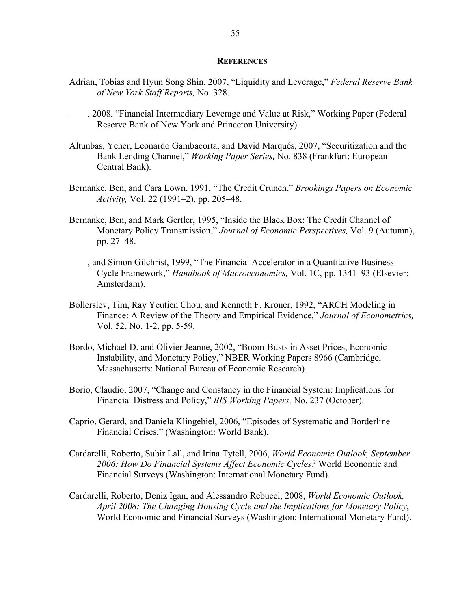#### **REFERENCES**

- Adrian, Tobias and Hyun Song Shin, 2007, "Liquidity and Leverage," *Federal Reserve Bank of New York Staff Reports,* No. 328.
- ——, 2008, "Financial Intermediary Leverage and Value at Risk," Working Paper (Federal Reserve Bank of New York and Princeton University).
- Altunbas, Yener, Leonardo Gambacorta, and David Marqués, 2007, "Securitization and the Bank Lending Channel," *Working Paper Series,* No. 838 (Frankfurt: European Central Bank).
- Bernanke, Ben, and Cara Lown, 1991, "The Credit Crunch," *Brookings Papers on Economic Activity,* Vol. 22 (1991–2), pp. 205–48.
- Bernanke, Ben, and Mark Gertler, 1995, "Inside the Black Box: The Credit Channel of Monetary Policy Transmission," *Journal of Economic Perspectives,* Vol. 9 (Autumn), pp. 27–48.
- ——, and Simon Gilchrist, 1999, "The Financial Accelerator in a Quantitative Business Cycle Framework," *Handbook of Macroeconomics,* Vol. 1C, pp. 1341–93 (Elsevier: Amsterdam).
- Bollerslev, Tim, Ray Yeutien Chou, and Kenneth F. Kroner, 1992, "ARCH Modeling in Finance: A Review of the Theory and Empirical Evidence," *Journal of Econometrics,* Vol. 52, No. 1-2, pp. 5-59.
- Bordo, Michael D. and Olivier Jeanne, 2002, "Boom-Busts in Asset Prices, Economic Instability, and Monetary Policy," NBER Working Papers 8966 (Cambridge, Massachusetts: National Bureau of Economic Research).
- Borio, Claudio, 2007, "Change and Constancy in the Financial System: Implications for Financial Distress and Policy," *BIS Working Papers,* No. 237 (October).
- Caprio, Gerard, and Daniela Klingebiel, 2006, "Episodes of Systematic and Borderline Financial Crises," (Washington: World Bank).
- Cardarelli, Roberto, Subir Lall, and Irina Tytell, 2006, *World Economic Outlook, September 2006: How Do Financial Systems Affect Economic Cycles?* World Economic and Financial Surveys (Washington: International Monetary Fund).
- Cardarelli, Roberto, Deniz Igan, and Alessandro Rebucci, 2008, *World Economic Outlook, April 2008: The Changing Housing Cycle and the Implications for Monetary Policy*, World Economic and Financial Surveys (Washington: International Monetary Fund).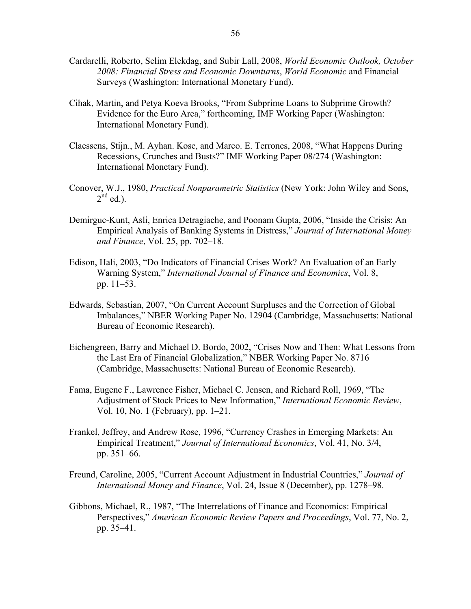- Cardarelli, Roberto, Selim Elekdag, and Subir Lall, 2008, *World Economic Outlook, October 2008: Financial Stress and Economic Downturns*, *World Economic* and Financial Surveys (Washington: International Monetary Fund).
- Cihak, Martin, and Petya Koeva Brooks, "From Subprime Loans to Subprime Growth? Evidence for the Euro Area," forthcoming, IMF Working Paper (Washington: International Monetary Fund).
- Claessens, Stijn., M. Ayhan. Kose, and Marco. E. Terrones, 2008, "What Happens During Recessions, Crunches and Busts?" IMF Working Paper 08/274 (Washington: International Monetary Fund).
- Conover, W.J., 1980, *Practical Nonparametric Statistics* (New York: John Wiley and Sons,  $2^{nd}$  ed.).
- Demirguc-Kunt, Asli, Enrica Detragiache, and Poonam Gupta, 2006, "Inside the Crisis: An Empirical Analysis of Banking Systems in Distress," *Journal of International Money and Finance*, Vol. 25, pp. 702–18.
- Edison, Hali, 2003, "Do Indicators of Financial Crises Work? An Evaluation of an Early Warning System," *International Journal of Finance and Economics*, Vol. 8, pp. 11–53.
- Edwards, Sebastian, 2007, "On Current Account Surpluses and the Correction of Global Imbalances," NBER Working Paper No. 12904 (Cambridge, Massachusetts: National Bureau of Economic Research).
- Eichengreen, Barry and Michael D. Bordo, 2002, "Crises Now and Then: What Lessons from the Last Era of Financial Globalization," NBER Working Paper No. 8716 (Cambridge, Massachusetts: National Bureau of Economic Research).
- Fama, Eugene F., Lawrence Fisher, Michael C. Jensen, and Richard Roll, 1969, "The Adjustment of Stock Prices to New Information," *International Economic Review*, Vol. 10, No. 1 (February), pp. 1–21.
- Frankel, Jeffrey, and Andrew Rose, 1996, "Currency Crashes in Emerging Markets: An Empirical Treatment," *Journal of International Economics*, Vol. 41, No. 3/4, pp. 351–66.
- Freund, Caroline, 2005, "Current Account Adjustment in Industrial Countries," *Journal of International Money and Finance*, Vol. 24, Issue 8 (December), pp. 1278–98.
- Gibbons, Michael, R., 1987, "The Interrelations of Finance and Economics: Empirical Perspectives," *American Economic Review Papers and Proceedings*, Vol. 77, No. 2, pp. 35–41.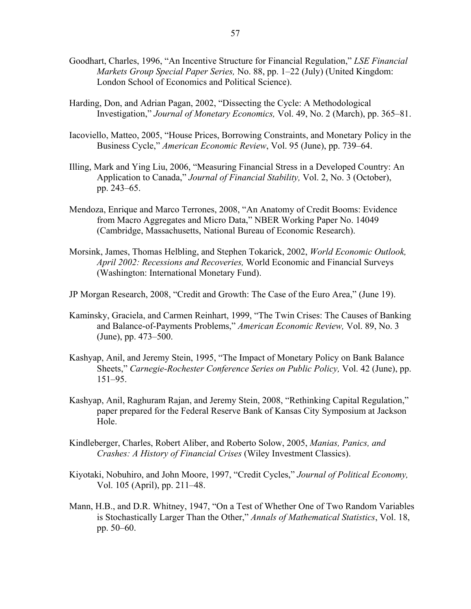- Goodhart, Charles, 1996, "An Incentive Structure for Financial Regulation," *LSE Financial Markets Group Special Paper Series,* No. 88, pp. 1–22 (July) (United Kingdom: London School of Economics and Political Science).
- Harding, Don, and Adrian Pagan, 2002, "Dissecting the Cycle: A Methodological Investigation," *Journal of Monetary Economics,* Vol. 49, No. 2 (March), pp. 365–81.
- Iacoviello, Matteo, 2005, "House Prices, Borrowing Constraints, and Monetary Policy in the Business Cycle," *American Economic Review*, Vol. 95 (June), pp. 739–64.
- Illing, Mark and Ying Liu, 2006, "Measuring Financial Stress in a Developed Country: An Application to Canada," *Journal of Financial Stability,* Vol. 2, No. 3 (October), pp. 243–65.
- Mendoza, Enrique and Marco Terrones, 2008, "An Anatomy of Credit Booms: Evidence from Macro Aggregates and Micro Data," NBER Working Paper No. 14049 (Cambridge, Massachusetts, National Bureau of Economic Research).
- Morsink, James, Thomas Helbling, and Stephen Tokarick, 2002, *World Economic Outlook, April 2002: Recessions and Recoveries,* World Economic and Financial Surveys (Washington: International Monetary Fund).
- JP Morgan Research, 2008, "Credit and Growth: The Case of the Euro Area," (June 19).
- Kaminsky, Graciela, and Carmen Reinhart, 1999, "The Twin Crises: The Causes of Banking and Balance-of-Payments Problems," *American Economic Review,* Vol. 89, No. 3 (June), pp. 473–500.
- Kashyap, Anil, and Jeremy Stein, 1995, "The Impact of Monetary Policy on Bank Balance Sheets," *Carnegie-Rochester Conference Series on Public Policy,* Vol. 42 (June), pp. 151–95.
- Kashyap, Anil, Raghuram Rajan, and Jeremy Stein, 2008, "Rethinking Capital Regulation," paper prepared for the Federal Reserve Bank of Kansas City Symposium at Jackson Hole.
- Kindleberger, Charles, Robert Aliber, and Roberto Solow, 2005, *Manias, Panics, and Crashes: A History of Financial Crises* (Wiley Investment Classics).
- Kiyotaki, Nobuhiro, and John Moore, 1997, "Credit Cycles," *Journal of Political Economy,* Vol. 105 (April), pp. 211–48.
- Mann, H.B., and D.R. Whitney, 1947, "On a Test of Whether One of Two Random Variables is Stochastically Larger Than the Other," *Annals of Mathematical Statistics*, Vol. 18, pp. 50–60.